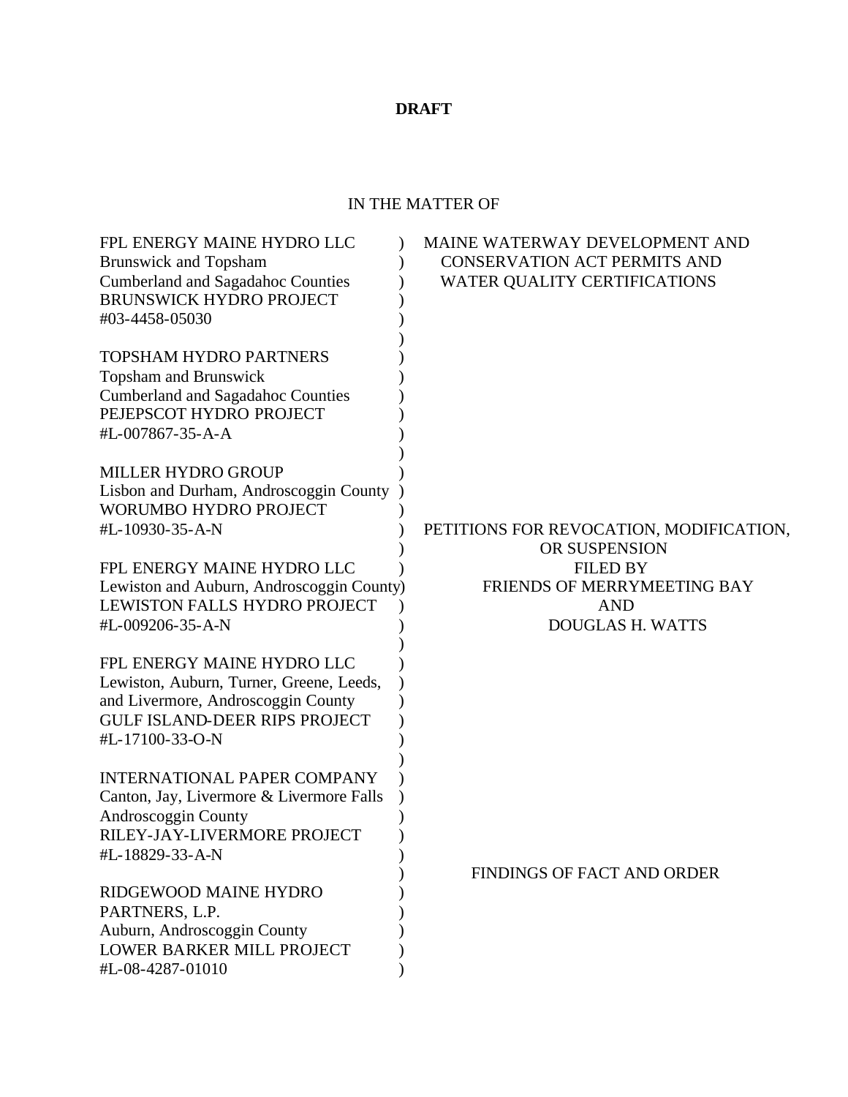# **DRAFT**

## IN THE MATTER OF

| FPL ENERGY MAINE HYDRO LLC<br><b>Brunswick and Topsham</b><br><b>Cumberland and Sagadahoc Counties</b><br><b>BRUNSWICK HYDRO PROJECT</b><br>#03-4458-05030              | MAINE WATERWAY DEVELOPMENT AND<br><b>CONSERVATION ACT PERMITS AND</b><br><b>WATER QUALITY CERTIFICATIONS</b> |
|-------------------------------------------------------------------------------------------------------------------------------------------------------------------------|--------------------------------------------------------------------------------------------------------------|
| <b>TOPSHAM HYDRO PARTNERS</b><br><b>Topsham and Brunswick</b><br><b>Cumberland and Sagadahoc Counties</b><br>PEJEPSCOT HYDRO PROJECT<br>#L-007867-35-A-A                |                                                                                                              |
| <b>MILLER HYDRO GROUP</b><br>Lisbon and Durham, Androscoggin County<br>WORUMBO HYDRO PROJECT<br>#L-10930-35-A-N                                                         | PETITIONS FOR REVOCATION, MODIFICATION,<br>OR SUSPENSION                                                     |
| FPL ENERGY MAINE HYDRO LLC<br>Lewiston and Auburn, Androscoggin County)<br>LEWISTON FALLS HYDRO PROJECT<br>#L-009206-35-A-N                                             | <b>FILED BY</b><br>FRIENDS OF MERRYMEETING BAY<br><b>AND</b><br><b>DOUGLAS H. WATTS</b>                      |
| FPL ENERGY MAINE HYDRO LLC<br>Lewiston, Auburn, Turner, Greene, Leeds,<br>and Livermore, Androscoggin County<br><b>GULF ISLAND-DEER RIPS PROJECT</b><br>#L-17100-33-O-N |                                                                                                              |
| <b>INTERNATIONAL PAPER COMPANY</b><br>Canton, Jay, Livermore & Livermore Falls<br>Androscoggin County<br>RILEY-JAY-LIVERMORE PROJECT<br>#L-18829-33-A-N                 |                                                                                                              |
| RIDGEWOOD MAINE HYDRO<br>PARTNERS, L.P.<br>Auburn, Androscoggin County<br>LOWER BARKER MILL PROJECT<br>#L-08-4287-01010                                                 | FINDINGS OF FACT AND ORDER                                                                                   |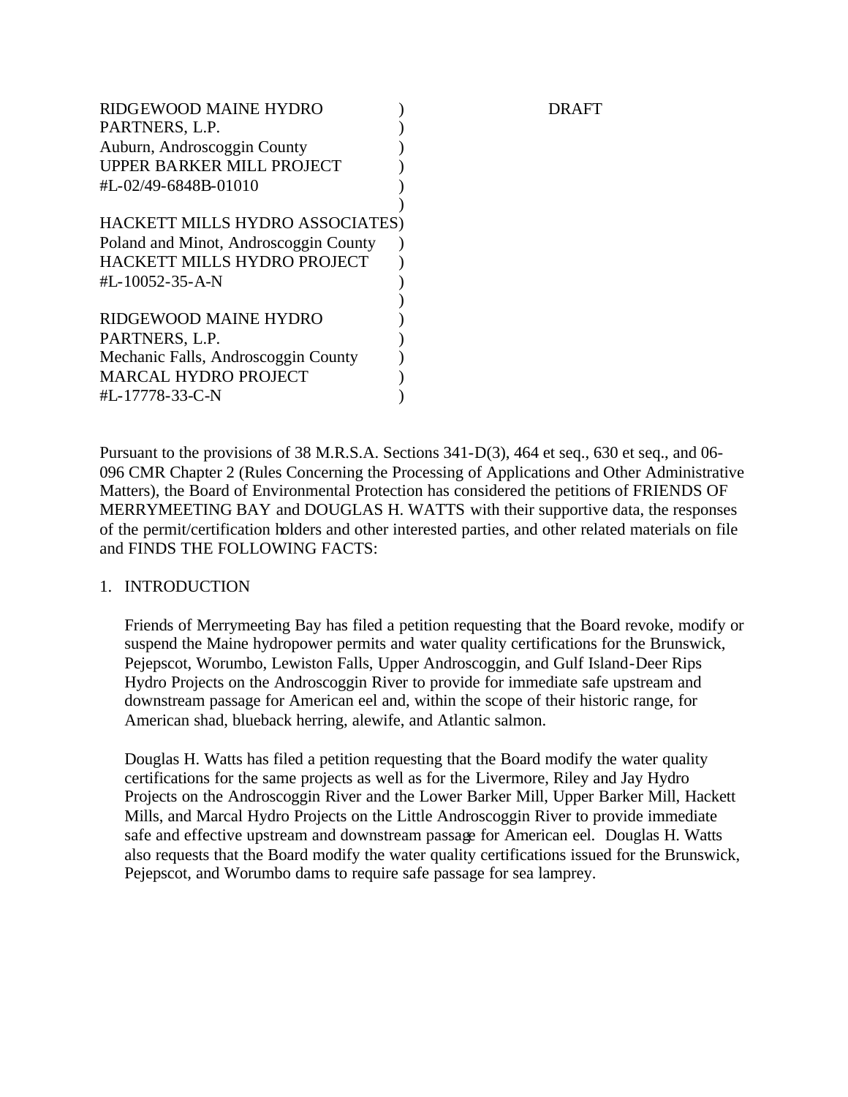| RAFT                            |
|---------------------------------|
|                                 |
|                                 |
|                                 |
|                                 |
|                                 |
|                                 |
|                                 |
|                                 |
|                                 |
|                                 |
|                                 |
|                                 |
|                                 |
|                                 |
|                                 |
| HACKETT MILLS HYDRO ASSOCIATES) |

Pursuant to the provisions of 38 M.R.S.A. Sections 341-D(3), 464 et seq., 630 et seq., and 06- 096 CMR Chapter 2 (Rules Concerning the Processing of Applications and Other Administrative Matters), the Board of Environmental Protection has considered the petitions of FRIENDS OF MERRYMEETING BAY and DOUGLAS H. WATTS with their supportive data, the responses of the permit/certification holders and other interested parties, and other related materials on file and FINDS THE FOLLOWING FACTS:

## 1. INTRODUCTION

Friends of Merrymeeting Bay has filed a petition requesting that the Board revoke, modify or suspend the Maine hydropower permits and water quality certifications for the Brunswick, Pejepscot, Worumbo, Lewiston Falls, Upper Androscoggin, and Gulf Island-Deer Rips Hydro Projects on the Androscoggin River to provide for immediate safe upstream and downstream passage for American eel and, within the scope of their historic range, for American shad, blueback herring, alewife, and Atlantic salmon.

Douglas H. Watts has filed a petition requesting that the Board modify the water quality certifications for the same projects as well as for the Livermore, Riley and Jay Hydro Projects on the Androscoggin River and the Lower Barker Mill, Upper Barker Mill, Hackett Mills, and Marcal Hydro Projects on the Little Androscoggin River to provide immediate safe and effective upstream and downstream passage for American eel. Douglas H. Watts also requests that the Board modify the water quality certifications issued for the Brunswick, Pejepscot, and Worumbo dams to require safe passage for sea lamprey.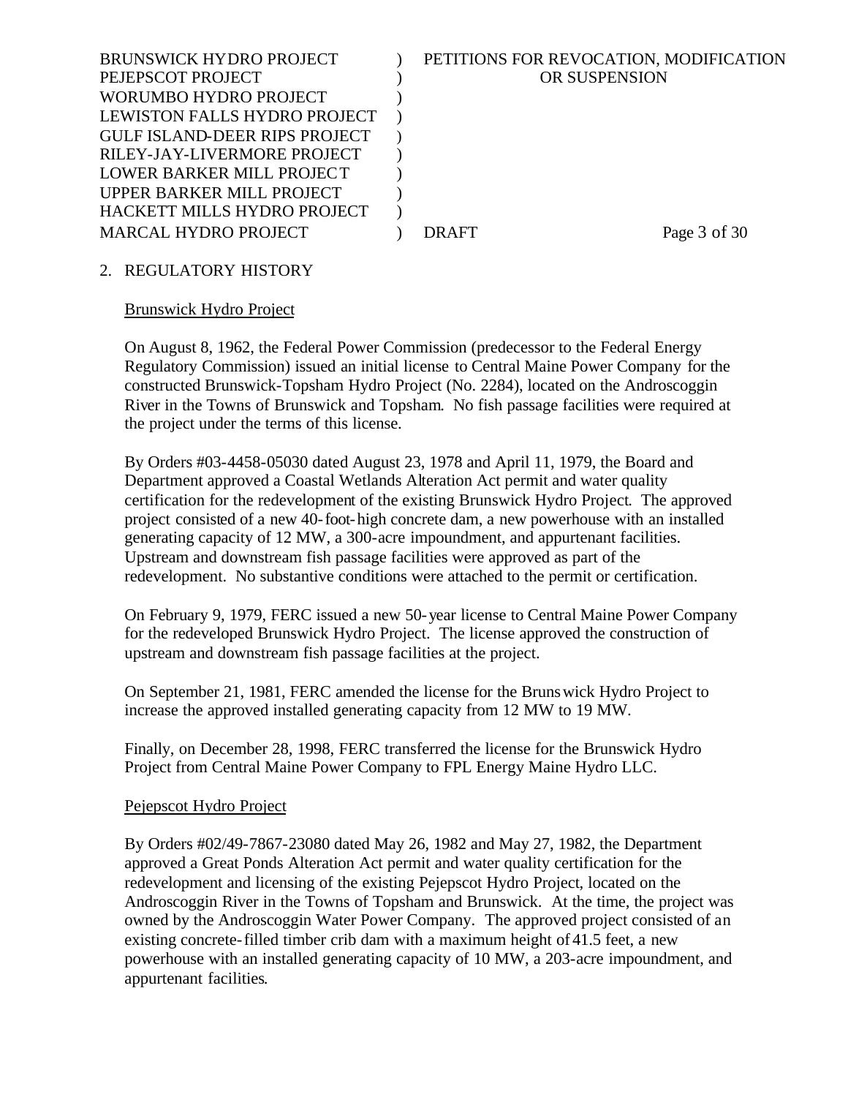| <b>BRUNSWICK HYDRO PROJECT</b>       | PETITIONS FOR REVOCATION, MODIFICATION |              |
|--------------------------------------|----------------------------------------|--------------|
| PEJEPSCOT PROJECT                    | OR SUSPENSION                          |              |
| WORUMBO HYDRO PROJECT                |                                        |              |
| LEWISTON FALLS HYDRO PROJECT         |                                        |              |
| <b>GULF ISLAND-DEER RIPS PROJECT</b> |                                        |              |
| RILEY-JAY-LIVERMORE PROJECT          |                                        |              |
| LOWER BARKER MILL PROJECT            |                                        |              |
| UPPER BARKER MILL PROJECT            |                                        |              |
| HACKETT MILLS HYDRO PROJECT          |                                        |              |
| <b>MARCAL HYDRO PROJECT</b>          | DRAFT                                  | Page 3 of 30 |
|                                      |                                        |              |

## 2. REGULATORY HISTORY

#### Brunswick Hydro Project

On August 8, 1962, the Federal Power Commission (predecessor to the Federal Energy Regulatory Commission) issued an initial license to Central Maine Power Company for the constructed Brunswick-Topsham Hydro Project (No. 2284), located on the Androscoggin River in the Towns of Brunswick and Topsham. No fish passage facilities were required at the project under the terms of this license.

By Orders #03-4458-05030 dated August 23, 1978 and April 11, 1979, the Board and Department approved a Coastal Wetlands Alteration Act permit and water quality certification for the redevelopment of the existing Brunswick Hydro Project. The approved project consisted of a new 40-foot-high concrete dam, a new powerhouse with an installed generating capacity of 12 MW, a 300-acre impoundment, and appurtenant facilities. Upstream and downstream fish passage facilities were approved as part of the redevelopment. No substantive conditions were attached to the permit or certification.

On February 9, 1979, FERC issued a new 50-year license to Central Maine Power Company for the redeveloped Brunswick Hydro Project. The license approved the construction of upstream and downstream fish passage facilities at the project.

On September 21, 1981, FERC amended the license for the Brunswick Hydro Project to increase the approved installed generating capacity from 12 MW to 19 MW.

Finally, on December 28, 1998, FERC transferred the license for the Brunswick Hydro Project from Central Maine Power Company to FPL Energy Maine Hydro LLC.

## Pejepscot Hydro Project

By Orders #02/49-7867-23080 dated May 26, 1982 and May 27, 1982, the Department approved a Great Ponds Alteration Act permit and water quality certification for the redevelopment and licensing of the existing Pejepscot Hydro Project, located on the Androscoggin River in the Towns of Topsham and Brunswick. At the time, the project was owned by the Androscoggin Water Power Company. The approved project consisted of an existing concrete-filled timber crib dam with a maximum height of 41.5 feet, a new powerhouse with an installed generating capacity of 10 MW, a 203-acre impoundment, and appurtenant facilities.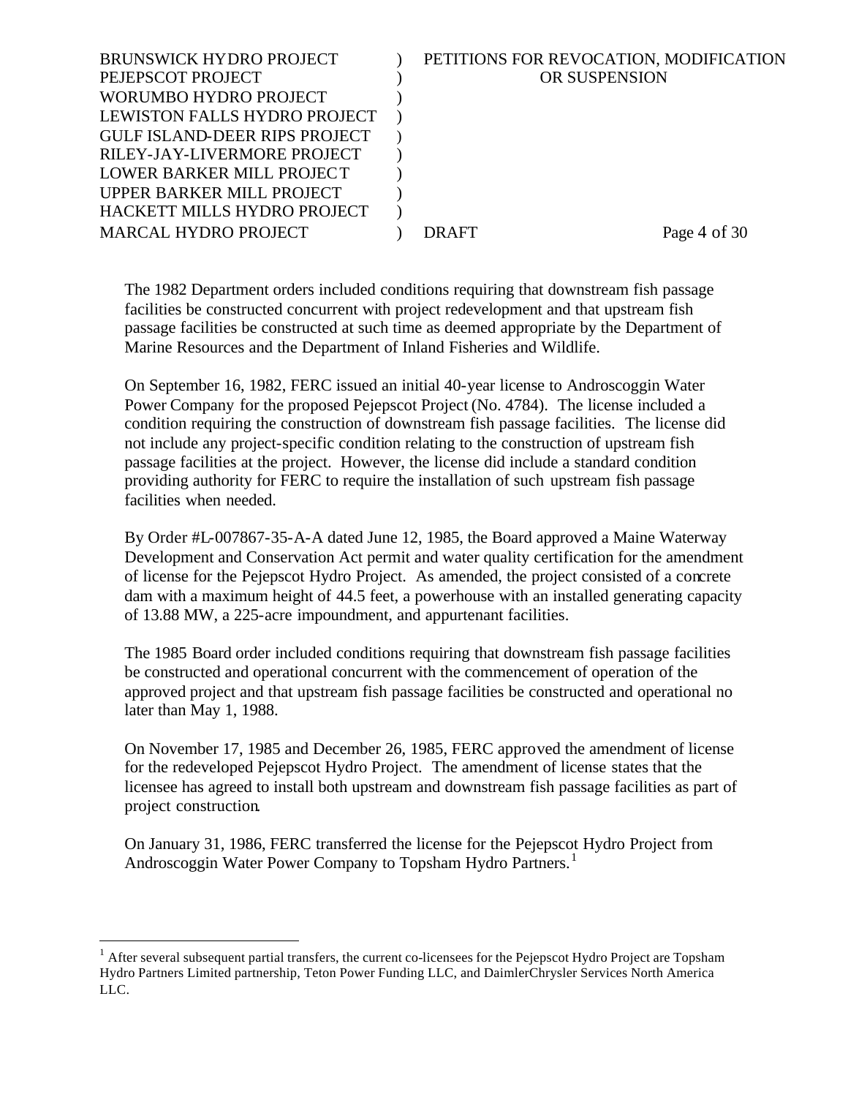| <b>BRUNSWICK HYDRO PROJECT</b><br>PEJEPSCOT PROJECT      | PETITIONS FOR REVOCATION, MODIFICATION<br>OR SUSPENSION |              |
|----------------------------------------------------------|---------------------------------------------------------|--------------|
| WORUMBO HYDRO PROJECT                                    |                                                         |              |
| LEWISTON FALLS HYDRO PROJECT                             |                                                         |              |
| <b>GULF ISLAND-DEER RIPS PROJECT</b>                     |                                                         |              |
| RILEY-JAY-LIVERMORE PROJECT<br>LOWER BARKER MILL PROJECT |                                                         |              |
| UPPER BARKER MILL PROJECT                                |                                                         |              |
| HACKETT MILLS HYDRO PROJECT                              |                                                         |              |
| <b>MARCAL HYDRO PROJECT</b>                              | DR AFT                                                  | Page 4 of 30 |

The 1982 Department orders included conditions requiring that downstream fish passage facilities be constructed concurrent with project redevelopment and that upstream fish passage facilities be constructed at such time as deemed appropriate by the Department of Marine Resources and the Department of Inland Fisheries and Wildlife.

On September 16, 1982, FERC issued an initial 40-year license to Androscoggin Water Power Company for the proposed Pejepscot Project (No. 4784). The license included a condition requiring the construction of downstream fish passage facilities. The license did not include any project-specific condition relating to the construction of upstream fish passage facilities at the project. However, the license did include a standard condition providing authority for FERC to require the installation of such upstream fish passage facilities when needed.

By Order #L-007867-35-A-A dated June 12, 1985, the Board approved a Maine Waterway Development and Conservation Act permit and water quality certification for the amendment of license for the Pejepscot Hydro Project. As amended, the project consisted of a concrete dam with a maximum height of 44.5 feet, a powerhouse with an installed generating capacity of 13.88 MW, a 225-acre impoundment, and appurtenant facilities.

The 1985 Board order included conditions requiring that downstream fish passage facilities be constructed and operational concurrent with the commencement of operation of the approved project and that upstream fish passage facilities be constructed and operational no later than May 1, 1988.

On November 17, 1985 and December 26, 1985, FERC approved the amendment of license for the redeveloped Pejepscot Hydro Project. The amendment of license states that the licensee has agreed to install both upstream and downstream fish passage facilities as part of project construction.

On January 31, 1986, FERC transferred the license for the Pejepscot Hydro Project from Androscoggin Water Power Company to Topsham Hydro Partners.<sup>1</sup>

 $<sup>1</sup>$  After several subsequent partial transfers, the current co-licensees for the Pejepscot Hydro Project are Topsham</sup> Hydro Partners Limited partnership, Teton Power Funding LLC, and DaimlerChrysler Services North America LLC.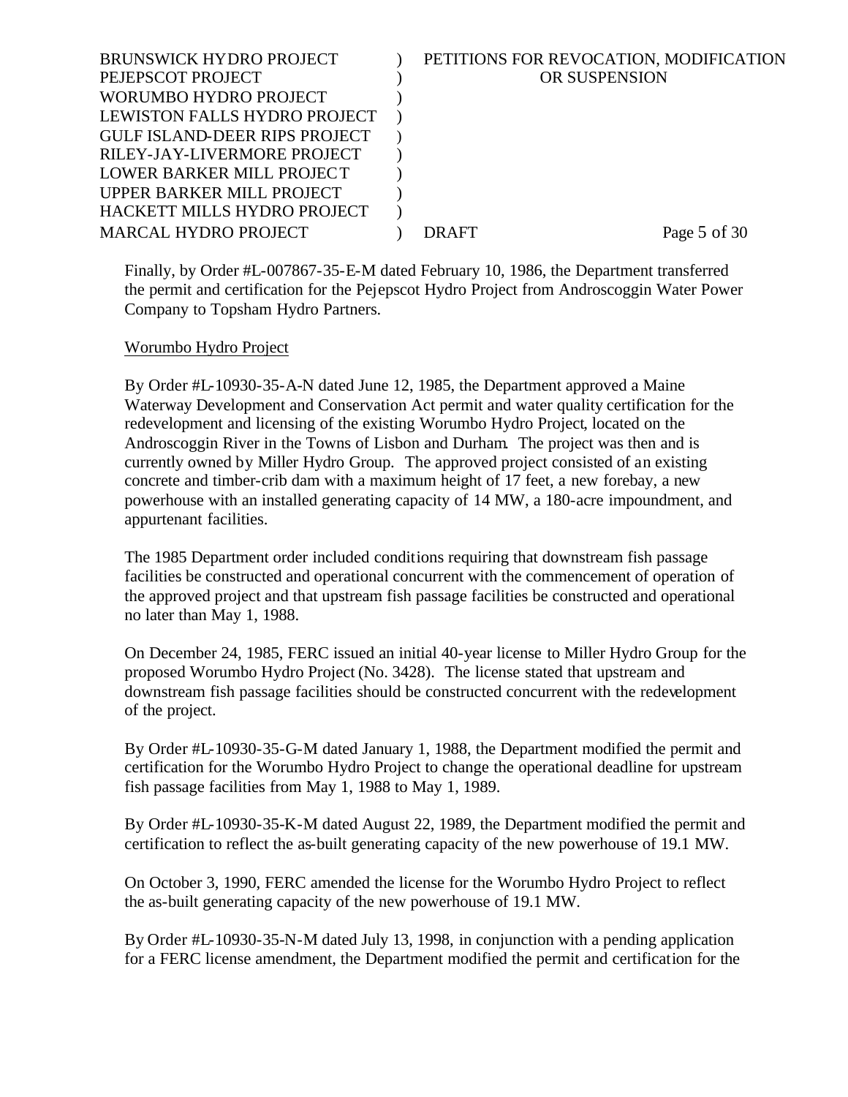| <b>BRUNSWICK HYDRO PROJECT</b>       | PETITIONS FOR REVOCATION, MODIFICATION |              |
|--------------------------------------|----------------------------------------|--------------|
| PEJEPSCOT PROJECT                    | OR SUSPENSION                          |              |
| WORUMBO HYDRO PROJECT                |                                        |              |
| LEWISTON FALLS HYDRO PROJECT         |                                        |              |
| <b>GULF ISLAND-DEER RIPS PROJECT</b> |                                        |              |
| RILEY-JAY-LIVERMORE PROJECT          |                                        |              |
| LOWER BARKER MILL PROJECT            |                                        |              |
| UPPER BARKER MILL PROJECT            |                                        |              |
| HACKETT MILLS HYDRO PROJECT          |                                        |              |
| <b>MARCAL HYDRO PROJECT</b>          | DR AFT                                 | Page 5 of 30 |
|                                      |                                        |              |

Finally, by Order #L-007867-35-E-M dated February 10, 1986, the Department transferred the permit and certification for the Pejepscot Hydro Project from Androscoggin Water Power Company to Topsham Hydro Partners.

## Worumbo Hydro Project

By Order #L-10930-35-A-N dated June 12, 1985, the Department approved a Maine Waterway Development and Conservation Act permit and water quality certification for the redevelopment and licensing of the existing Worumbo Hydro Project, located on the Androscoggin River in the Towns of Lisbon and Durham. The project was then and is currently owned by Miller Hydro Group. The approved project consisted of an existing concrete and timber-crib dam with a maximum height of 17 feet, a new forebay, a new powerhouse with an installed generating capacity of 14 MW, a 180-acre impoundment, and appurtenant facilities.

The 1985 Department order included conditions requiring that downstream fish passage facilities be constructed and operational concurrent with the commencement of operation of the approved project and that upstream fish passage facilities be constructed and operational no later than May 1, 1988.

On December 24, 1985, FERC issued an initial 40-year license to Miller Hydro Group for the proposed Worumbo Hydro Project (No. 3428). The license stated that upstream and downstream fish passage facilities should be constructed concurrent with the redevelopment of the project.

By Order #L-10930-35-G-M dated January 1, 1988, the Department modified the permit and certification for the Worumbo Hydro Project to change the operational deadline for upstream fish passage facilities from May 1, 1988 to May 1, 1989.

By Order #L-10930-35-K-M dated August 22, 1989, the Department modified the permit and certification to reflect the as-built generating capacity of the new powerhouse of 19.1 MW.

On October 3, 1990, FERC amended the license for the Worumbo Hydro Project to reflect the as-built generating capacity of the new powerhouse of 19.1 MW.

By Order #L-10930-35-N-M dated July 13, 1998, in conjunction with a pending application for a FERC license amendment, the Department modified the permit and certification for the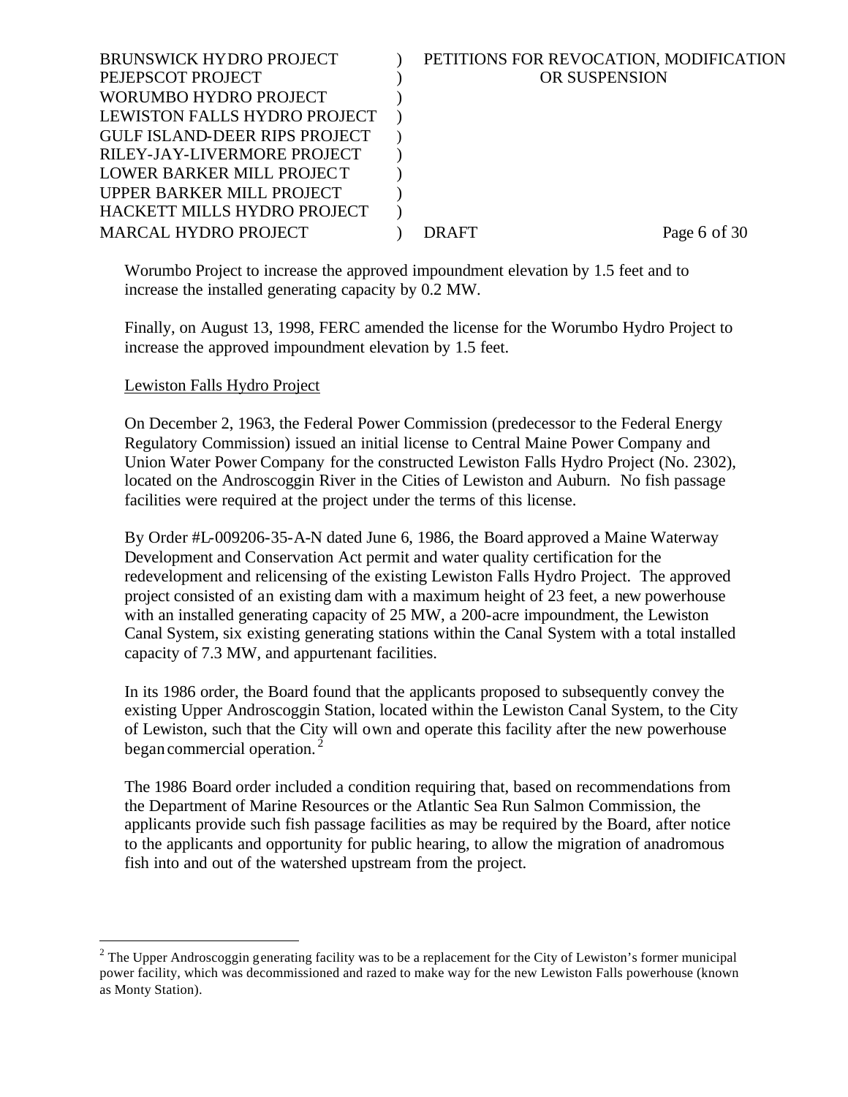| <b>BRUNSWICK HYDRO PROJECT</b>       | PETITIONS FOR REVOCATION, MODIFICATION |              |
|--------------------------------------|----------------------------------------|--------------|
| PEJEPSCOT PROJECT                    | OR SUSPENSION                          |              |
| WORUMBO HYDRO PROJECT                |                                        |              |
| LEWISTON FALLS HYDRO PROJECT         |                                        |              |
| <b>GULF ISLAND-DEER RIPS PROJECT</b> |                                        |              |
| RILEY-JAY-LIVERMORE PROJECT          |                                        |              |
| LOWER BARKER MILL PROJECT            |                                        |              |
| UPPER BARKER MILL PROJECT            |                                        |              |
| HACKETT MILLS HYDRO PROJECT          |                                        |              |
| <b>MARCAL HYDRO PROJECT</b>          | DR AFT                                 | Page 6 of 30 |
|                                      |                                        |              |

Worumbo Project to increase the approved impoundment elevation by 1.5 feet and to increase the installed generating capacity by 0.2 MW.

Finally, on August 13, 1998, FERC amended the license for the Worumbo Hydro Project to increase the approved impoundment elevation by 1.5 feet.

## Lewiston Falls Hydro Project

l

On December 2, 1963, the Federal Power Commission (predecessor to the Federal Energy Regulatory Commission) issued an initial license to Central Maine Power Company and Union Water Power Company for the constructed Lewiston Falls Hydro Project (No. 2302), located on the Androscoggin River in the Cities of Lewiston and Auburn. No fish passage facilities were required at the project under the terms of this license.

By Order #L-009206-35-A-N dated June 6, 1986, the Board approved a Maine Waterway Development and Conservation Act permit and water quality certification for the redevelopment and relicensing of the existing Lewiston Falls Hydro Project. The approved project consisted of an existing dam with a maximum height of 23 feet, a new powerhouse with an installed generating capacity of 25 MW, a 200-acre impoundment, the Lewiston Canal System, six existing generating stations within the Canal System with a total installed capacity of 7.3 MW, and appurtenant facilities.

In its 1986 order, the Board found that the applicants proposed to subsequently convey the existing Upper Androscoggin Station, located within the Lewiston Canal System, to the City of Lewiston, such that the City will own and operate this facility after the new powerhouse began commercial operation.<sup>2</sup>

The 1986 Board order included a condition requiring that, based on recommendations from the Department of Marine Resources or the Atlantic Sea Run Salmon Commission, the applicants provide such fish passage facilities as may be required by the Board, after notice to the applicants and opportunity for public hearing, to allow the migration of anadromous fish into and out of the watershed upstream from the project.

<sup>&</sup>lt;sup>2</sup> The Upper Androscoggin generating facility was to be a replacement for the City of Lewiston's former municipal power facility, which was decommissioned and razed to make way for the new Lewiston Falls powerhouse (known as Monty Station).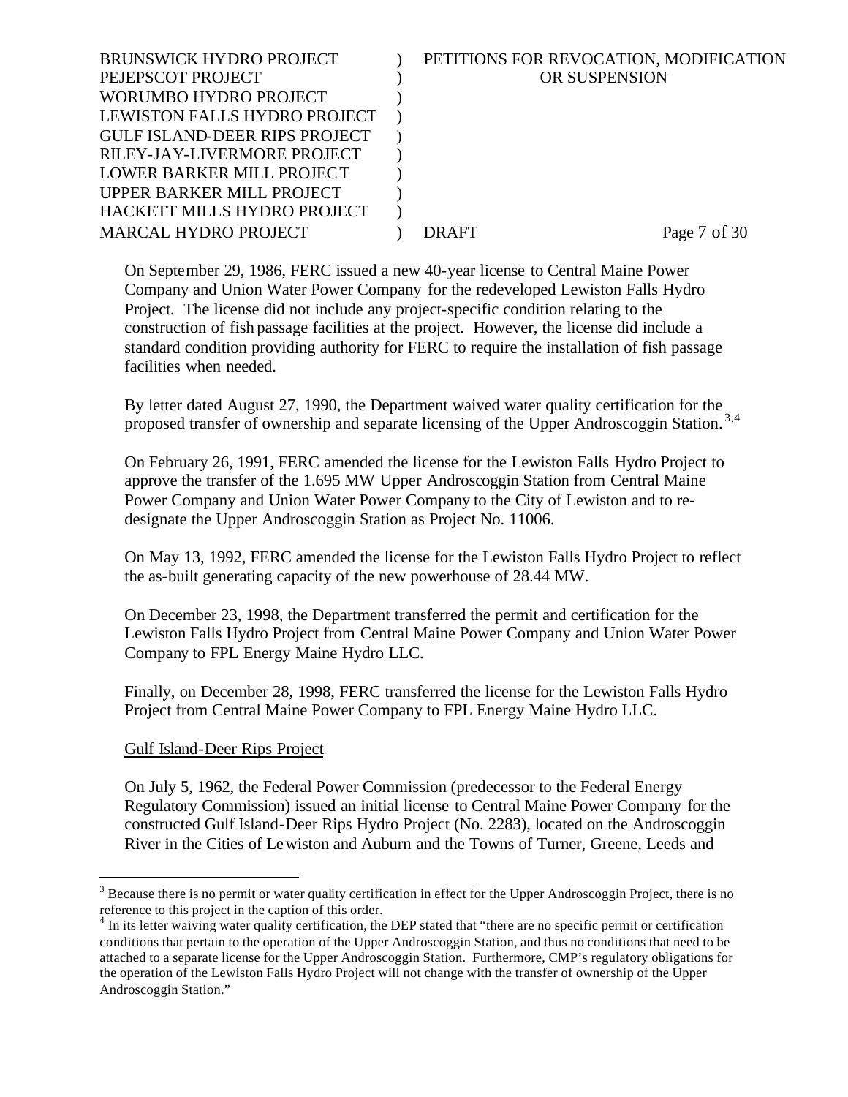| <b>BRUNSWICK HYDRO PROJECT</b>       | PETITIONS FOR REVOCATION, MODIFICATION |              |
|--------------------------------------|----------------------------------------|--------------|
| PEJEPSCOT PROJECT                    | OR SUSPENSION                          |              |
| WORUMBO HYDRO PROJECT                |                                        |              |
| LEWISTON FALLS HYDRO PROJECT         |                                        |              |
| <b>GULF ISLAND-DEER RIPS PROJECT</b> |                                        |              |
| RILEY-JAY-LIVERMORE PROJECT          |                                        |              |
| LOWER BARKER MILL PROJECT            |                                        |              |
| UPPER BARKER MILL PROJECT            |                                        |              |
| HACKETT MILLS HYDRO PROJECT          |                                        |              |
| <b>MARCAL HYDRO PROJECT</b>          | DRAFT                                  | Page 7 of 30 |
|                                      |                                        |              |

On September 29, 1986, FERC issued a new 40-year license to Central Maine Power Company and Union Water Power Company for the redeveloped Lewiston Falls Hydro Project. The license did not include any project-specific condition relating to the construction of fish passage facilities at the project. However, the license did include a standard condition providing authority for FERC to require the installation of fish passage facilities when needed.

By letter dated August 27, 1990, the Department waived water quality certification for the proposed transfer of ownership and separate licensing of the Upper Androscoggin Station.<sup>3,4</sup>

On February 26, 1991, FERC amended the license for the Lewiston Falls Hydro Project to approve the transfer of the 1.695 MW Upper Androscoggin Station from Central Maine Power Company and Union Water Power Company to the City of Lewiston and to redesignate the Upper Androscoggin Station as Project No. 11006.

On May 13, 1992, FERC amended the license for the Lewiston Falls Hydro Project to reflect the as-built generating capacity of the new powerhouse of 28.44 MW.

On December 23, 1998, the Department transferred the permit and certification for the Lewiston Falls Hydro Project from Central Maine Power Company and Union Water Power Company to FPL Energy Maine Hydro LLC.

Finally, on December 28, 1998, FERC transferred the license for the Lewiston Falls Hydro Project from Central Maine Power Company to FPL Energy Maine Hydro LLC.

#### Gulf Island-Deer Rips Project

l

On July 5, 1962, the Federal Power Commission (predecessor to the Federal Energy Regulatory Commission) issued an initial license to Central Maine Power Company for the constructed Gulf Island-Deer Rips Hydro Project (No. 2283), located on the Androscoggin River in the Cities of Lewiston and Auburn and the Towns of Turner, Greene, Leeds and

 $3$  Because there is no permit or water quality certification in effect for the Upper Androscoggin Project, there is no reference to this project in the caption of this order.

<sup>&</sup>lt;sup>4</sup> In its letter waiving water quality certification, the DEP stated that "there are no specific permit or certification conditions that pertain to the operation of the Upper Androscoggin Station, and thus no conditions that need to be attached to a separate license for the Upper Androscoggin Station. Furthermore, CMP's regulatory obligations for the operation of the Lewiston Falls Hydro Project will not change with the transfer of ownership of the Upper Androscoggin Station."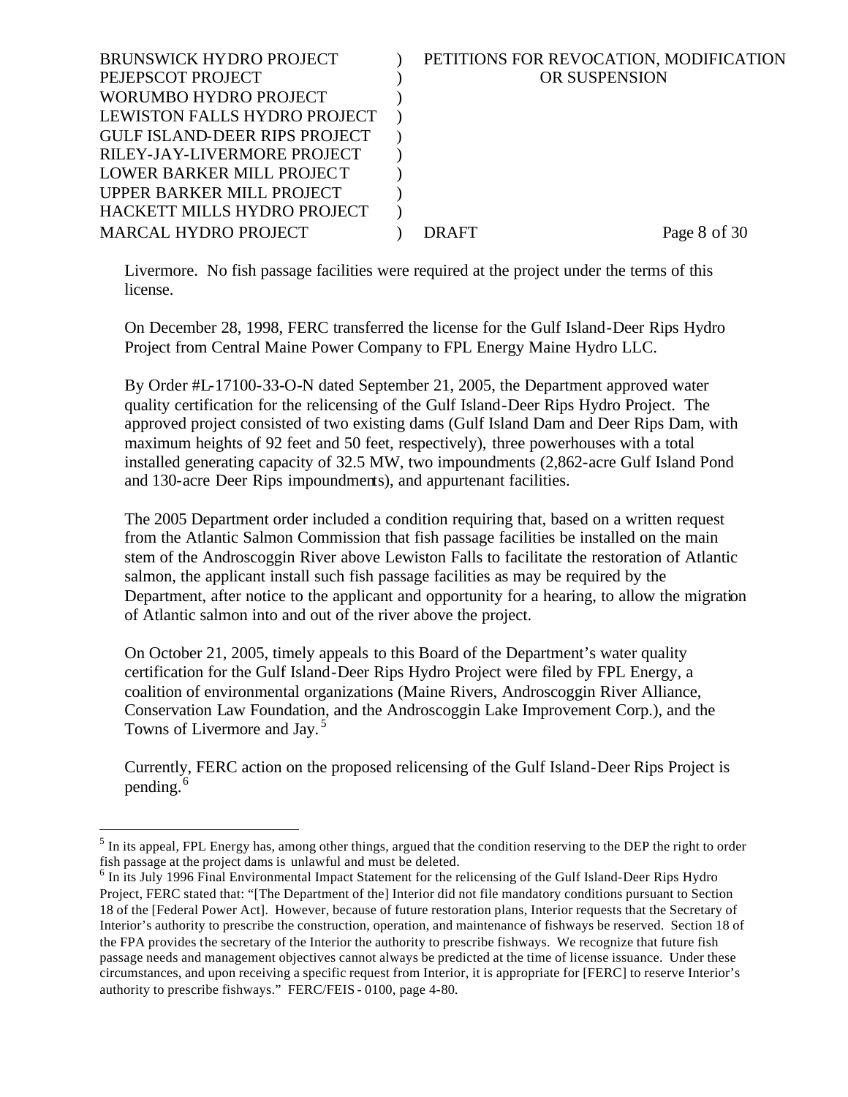| <b>BRUNSWICK HYDRO PROJECT</b>       | PETITIONS FOR REVOCATION, MODIFICATION |              |
|--------------------------------------|----------------------------------------|--------------|
| PEJEPSCOT PROJECT                    | OR SUSPENSION                          |              |
| WORUMBO HYDRO PROJECT                |                                        |              |
| LEWISTON FALLS HYDRO PROJECT         |                                        |              |
| <b>GULF ISLAND-DEER RIPS PROJECT</b> |                                        |              |
| RILEY-JAY-LIVERMORE PROJECT          |                                        |              |
| LOWER BARKER MILL PROJECT            |                                        |              |
| UPPER BARKER MILL PROJECT            |                                        |              |
| HACKETT MILLS HYDRO PROJECT          |                                        |              |
| <b>MARCAL HYDRO PROJECT</b>          | DR AFT                                 | Page 8 of 30 |
|                                      |                                        |              |

Livermore. No fish passage facilities were required at the project under the terms of this license.

On December 28, 1998, FERC transferred the license for the Gulf Island-Deer Rips Hydro Project from Central Maine Power Company to FPL Energy Maine Hydro LLC.

By Order #L-17100-33-O-N dated September 21, 2005, the Department approved water quality certification for the relicensing of the Gulf Island-Deer Rips Hydro Project. The approved project consisted of two existing dams (Gulf Island Dam and Deer Rips Dam, with maximum heights of 92 feet and 50 feet, respectively), three powerhouses with a total installed generating capacity of 32.5 MW, two impoundments (2,862-acre Gulf Island Pond and 130-acre Deer Rips impoundments), and appurtenant facilities.

The 2005 Department order included a condition requiring that, based on a written request from the Atlantic Salmon Commission that fish passage facilities be installed on the main stem of the Androscoggin River above Lewiston Falls to facilitate the restoration of Atlantic salmon, the applicant install such fish passage facilities as may be required by the Department, after notice to the applicant and opportunity for a hearing, to allow the migration of Atlantic salmon into and out of the river above the project.

On October 21, 2005, timely appeals to this Board of the Department's water quality certification for the Gulf Island-Deer Rips Hydro Project were filed by FPL Energy, a coalition of environmental organizations (Maine Rivers, Androscoggin River Alliance, Conservation Law Foundation, and the Androscoggin Lake Improvement Corp.), and the Towns of Livermore and Jay.<sup>5</sup>

Currently, FERC action on the proposed relicensing of the Gulf Island-Deer Rips Project is pending.<sup>6</sup>

 $<sup>5</sup>$  In its appeal, FPL Energy has, among other things, argued that the condition reserving to the DEP the right to order</sup> fish passage at the project dams is unlawful and must be deleted.

<sup>&</sup>lt;sup>6</sup> In its July 1996 Final Environmental Impact Statement for the relicensing of the Gulf Island-Deer Rips Hydro Project, FERC stated that: "[The Department of the] Interior did not file mandatory conditions pursuant to Section 18 of the [Federal Power Act]. However, because of future restoration plans, Interior requests that the Secretary of Interior's authority to prescribe the construction, operation, and maintenance of fishways be reserved. Section 18 of the FPA provides the secretary of the Interior the authority to prescribe fishways. We recognize that future fish passage needs and management objectives cannot always be predicted at the time of license issuance. Under these circumstances, and upon receiving a specific request from Interior, it is appropriate for [FERC] to reserve Interior's authority to prescribe fishways." FERC/FEIS - 0100, page 4-80.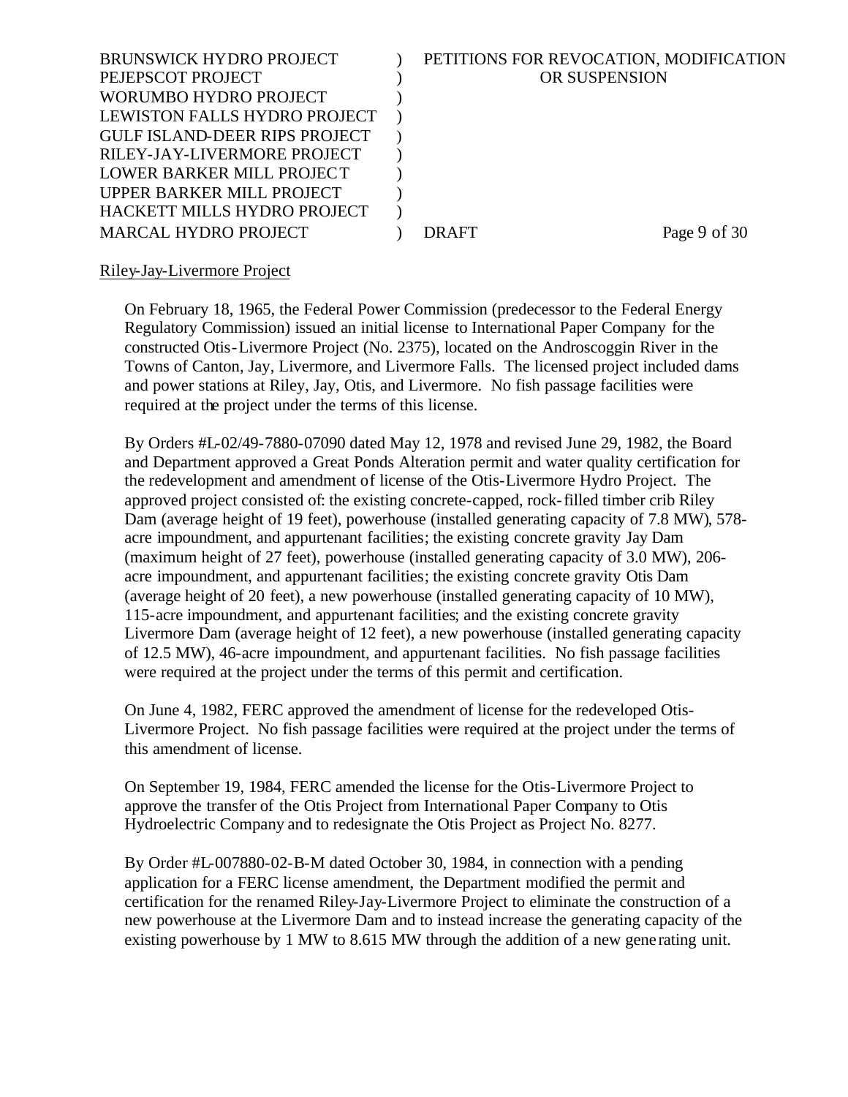| <b>BRUNSWICK HYDRO PROJECT</b>       | PETITIONS FOR REVOCATION, MODIFICATION |              |
|--------------------------------------|----------------------------------------|--------------|
| PEJEPSCOT PROJECT                    | OR SUSPENSION                          |              |
| WORUMBO HYDRO PROJECT                |                                        |              |
| LEWISTON FALLS HYDRO PROJECT         |                                        |              |
| <b>GULF ISLAND-DEER RIPS PROJECT</b> |                                        |              |
| RILEY-JAY-LIVERMORE PROJECT          |                                        |              |
| LOWER BARKER MILL PROJECT            |                                        |              |
| UPPER BARKER MILL PROJECT            |                                        |              |
| HACKETT MILLS HYDRO PROJECT          |                                        |              |
| <b>MARCAL HYDRO PROJECT</b>          | DR AFT.                                | Page 9 of 30 |
|                                      |                                        |              |

## Riley-Jay-Livermore Project

On February 18, 1965, the Federal Power Commission (predecessor to the Federal Energy Regulatory Commission) issued an initial license to International Paper Company for the constructed Otis-Livermore Project (No. 2375), located on the Androscoggin River in the Towns of Canton, Jay, Livermore, and Livermore Falls. The licensed project included dams and power stations at Riley, Jay, Otis, and Livermore. No fish passage facilities were required at the project under the terms of this license.

By Orders #L-02/49-7880-07090 dated May 12, 1978 and revised June 29, 1982, the Board and Department approved a Great Ponds Alteration permit and water quality certification for the redevelopment and amendment of license of the Otis-Livermore Hydro Project. The approved project consisted of: the existing concrete-capped, rock-filled timber crib Riley Dam (average height of 19 feet), powerhouse (installed generating capacity of 7.8 MW), 578 acre impoundment, and appurtenant facilities; the existing concrete gravity Jay Dam (maximum height of 27 feet), powerhouse (installed generating capacity of 3.0 MW), 206 acre impoundment, and appurtenant facilities; the existing concrete gravity Otis Dam (average height of 20 feet), a new powerhouse (installed generating capacity of 10 MW), 115-acre impoundment, and appurtenant facilities; and the existing concrete gravity Livermore Dam (average height of 12 feet), a new powerhouse (installed generating capacity of 12.5 MW), 46-acre impoundment, and appurtenant facilities. No fish passage facilities were required at the project under the terms of this permit and certification.

On June 4, 1982, FERC approved the amendment of license for the redeveloped Otis-Livermore Project. No fish passage facilities were required at the project under the terms of this amendment of license.

On September 19, 1984, FERC amended the license for the Otis-Livermore Project to approve the transfer of the Otis Project from International Paper Company to Otis Hydroelectric Company and to redesignate the Otis Project as Project No. 8277.

By Order #L-007880-02-B-M dated October 30, 1984, in connection with a pending application for a FERC license amendment, the Department modified the permit and certification for the renamed Riley-Jay-Livermore Project to eliminate the construction of a new powerhouse at the Livermore Dam and to instead increase the generating capacity of the existing powerhouse by 1 MW to 8.615 MW through the addition of a new gene rating unit.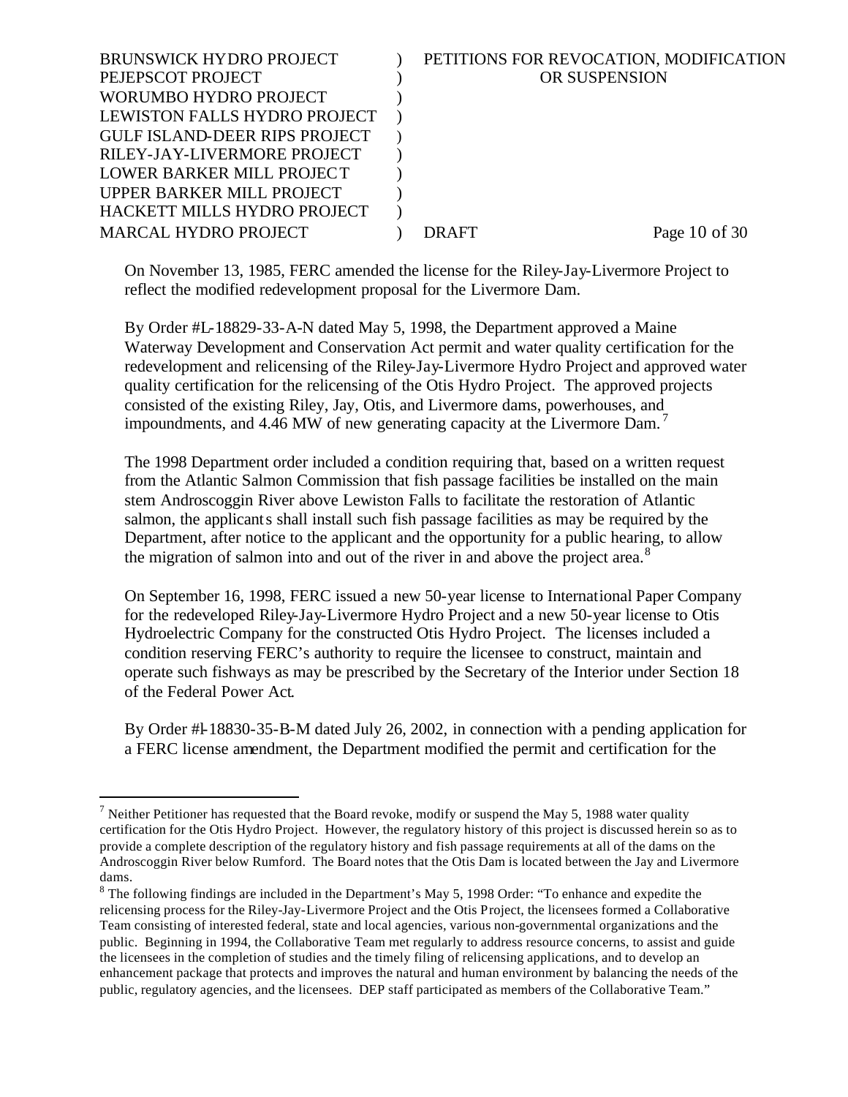| PETITIONS FOR REVOCATION, MODIFICATION |
|----------------------------------------|
| OR SUSPENSION                          |
|                                        |
|                                        |
|                                        |
|                                        |
|                                        |
|                                        |
|                                        |
| Page $10$ of $30$<br>DRAFT             |
| LEWISTON FALLS HYDRO PROJECT           |

On November 13, 1985, FERC amended the license for the Riley-Jay-Livermore Project to reflect the modified redevelopment proposal for the Livermore Dam.

By Order #L-18829-33-A-N dated May 5, 1998, the Department approved a Maine Waterway Development and Conservation Act permit and water quality certification for the redevelopment and relicensing of the Riley-Jay-Livermore Hydro Project and approved water quality certification for the relicensing of the Otis Hydro Project. The approved projects consisted of the existing Riley, Jay, Otis, and Livermore dams, powerhouses, and impoundments, and 4.46 MW of new generating capacity at the Livermore Dam.<sup>7</sup>

The 1998 Department order included a condition requiring that, based on a written request from the Atlantic Salmon Commission that fish passage facilities be installed on the main stem Androscoggin River above Lewiston Falls to facilitate the restoration of Atlantic salmon, the applicants shall install such fish passage facilities as may be required by the Department, after notice to the applicant and the opportunity for a public hearing, to allow the migration of salmon into and out of the river in and above the project area.<sup>8</sup>

On September 16, 1998, FERC issued a new 50-year license to International Paper Company for the redeveloped Riley-Jay-Livermore Hydro Project and a new 50-year license to Otis Hydroelectric Company for the constructed Otis Hydro Project. The licenses included a condition reserving FERC's authority to require the licensee to construct, maintain and operate such fishways as may be prescribed by the Secretary of the Interior under Section 18 of the Federal Power Act.

By Order #l-18830-35-B-M dated July 26, 2002, in connection with a pending application for a FERC license amendment, the Department modified the permit and certification for the

<sup>&</sup>lt;sup>7</sup> Neither Petitioner has requested that the Board revoke, modify or suspend the May 5, 1988 water quality certification for the Otis Hydro Project. However, the regulatory history of this project is discussed herein so as to provide a complete description of the regulatory history and fish passage requirements at all of the dams on the Androscoggin River below Rumford. The Board notes that the Otis Dam is located between the Jay and Livermore dams.

 $8$  The following findings are included in the Department's May 5, 1998 Order: "To enhance and expedite the relicensing process for the Riley-Jay-Livermore Project and the Otis Project, the licensees formed a Collaborative Team consisting of interested federal, state and local agencies, various non-governmental organizations and the public. Beginning in 1994, the Collaborative Team met regularly to address resource concerns, to assist and guide the licensees in the completion of studies and the timely filing of relicensing applications, and to develop an enhancement package that protects and improves the natural and human environment by balancing the needs of the public, regulatory agencies, and the licensees. DEP staff participated as members of the Collaborative Team."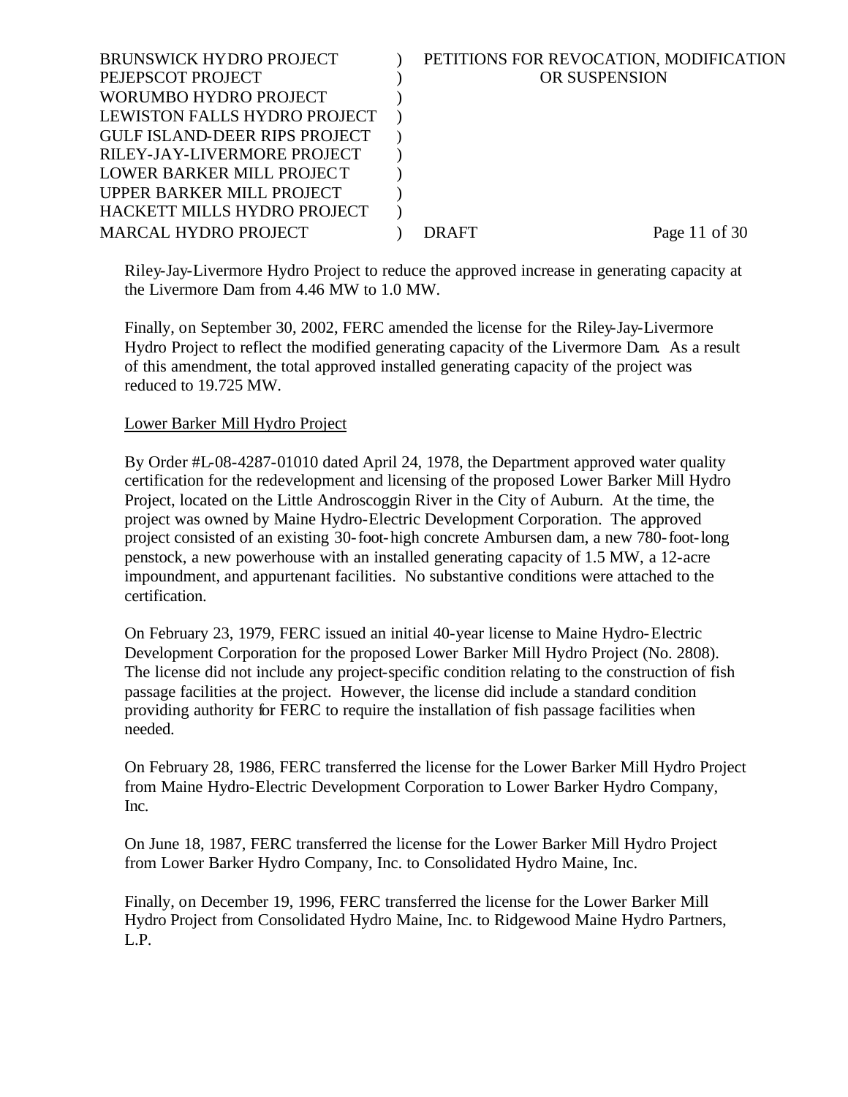| <b>BRUNSWICK HYDRO PROJECT</b>       | PETITIONS FOR REVOCATION, MODIFICATION |               |
|--------------------------------------|----------------------------------------|---------------|
| PEJEPSCOT PROJECT                    | OR SUSPENSION                          |               |
| WORUMBO HYDRO PROJECT                |                                        |               |
| LEWISTON FALLS HYDRO PROJECT         |                                        |               |
| <b>GULF ISLAND-DEER RIPS PROJECT</b> |                                        |               |
| RILEY-JAY-LIVERMORE PROJECT          |                                        |               |
| LOWER BARKER MILL PROJECT            |                                        |               |
| UPPER BARKER MILL PROJECT            |                                        |               |
| HACKETT MILLS HYDRO PROJECT          |                                        |               |
| <b>MARCAL HYDRO PROJECT</b>          | DRAFT                                  | Page 11 of 30 |
|                                      |                                        |               |

Riley-Jay-Livermore Hydro Project to reduce the approved increase in generating capacity at the Livermore Dam from 4.46 MW to 1.0 MW.

Finally, on September 30, 2002, FERC amended the license for the Riley-Jay-Livermore Hydro Project to reflect the modified generating capacity of the Livermore Dam. As a result of this amendment, the total approved installed generating capacity of the project was reduced to 19.725 MW.

## Lower Barker Mill Hydro Project

By Order #L-08-4287-01010 dated April 24, 1978, the Department approved water quality certification for the redevelopment and licensing of the proposed Lower Barker Mill Hydro Project, located on the Little Androscoggin River in the City of Auburn. At the time, the project was owned by Maine Hydro-Electric Development Corporation. The approved project consisted of an existing 30-foot-high concrete Ambursen dam, a new 780-foot-long penstock, a new powerhouse with an installed generating capacity of 1.5 MW, a 12-acre impoundment, and appurtenant facilities. No substantive conditions were attached to the certification.

On February 23, 1979, FERC issued an initial 40-year license to Maine Hydro-Electric Development Corporation for the proposed Lower Barker Mill Hydro Project (No. 2808). The license did not include any project-specific condition relating to the construction of fish passage facilities at the project. However, the license did include a standard condition providing authority for FERC to require the installation of fish passage facilities when needed.

On February 28, 1986, FERC transferred the license for the Lower Barker Mill Hydro Project from Maine Hydro-Electric Development Corporation to Lower Barker Hydro Company, Inc.

On June 18, 1987, FERC transferred the license for the Lower Barker Mill Hydro Project from Lower Barker Hydro Company, Inc. to Consolidated Hydro Maine, Inc.

Finally, on December 19, 1996, FERC transferred the license for the Lower Barker Mill Hydro Project from Consolidated Hydro Maine, Inc. to Ridgewood Maine Hydro Partners, L.P.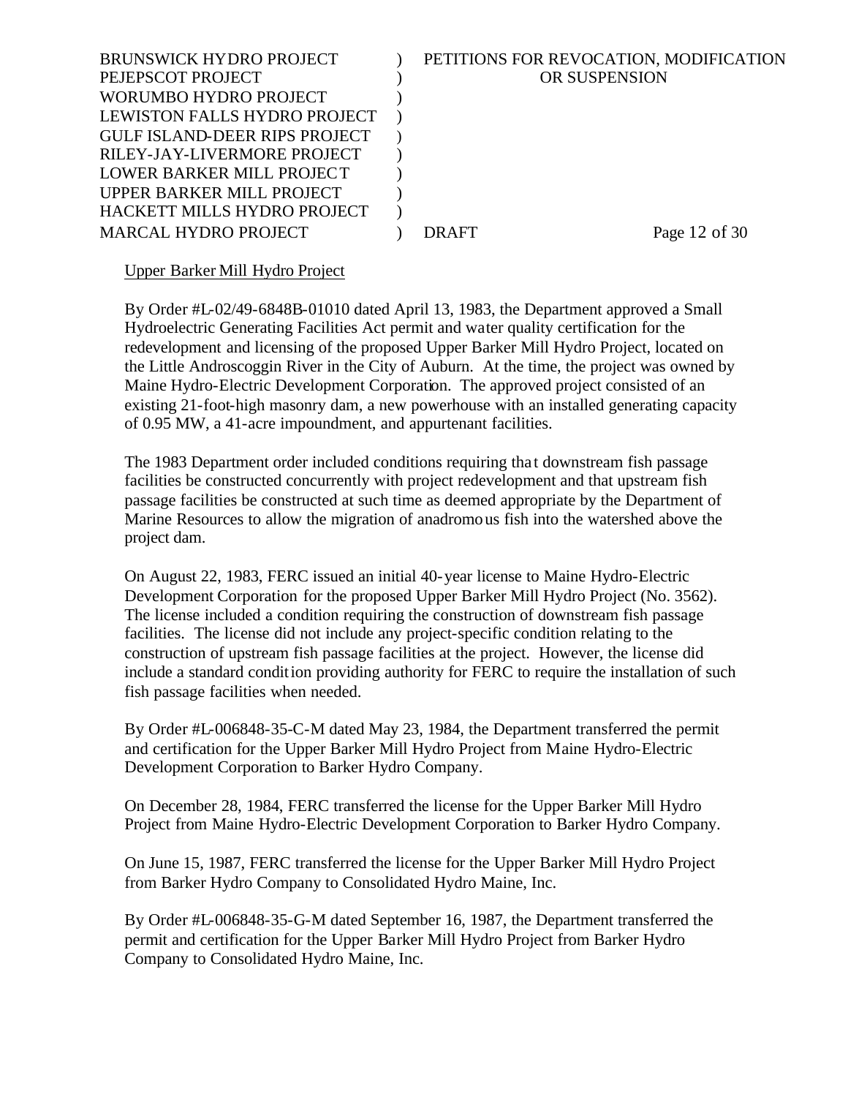| <b>BRUNSWICK HYDRO PROJECT</b>       | PETITIONS FOR REVOCATION, MODIFICATION |               |
|--------------------------------------|----------------------------------------|---------------|
|                                      |                                        |               |
| PEJEPSCOT PROJECT                    | OR SUSPENSION                          |               |
| WORUMBO HYDRO PROJECT                |                                        |               |
| LEWISTON FALLS HYDRO PROJECT         |                                        |               |
| <b>GULF ISLAND-DEER RIPS PROJECT</b> |                                        |               |
| RILEY-JAY-LIVERMORE PROJECT          |                                        |               |
| LOWER BARKER MILL PROJECT            |                                        |               |
| UPPER BARKER MILL PROJECT            |                                        |               |
| HACKETT MILLS HYDRO PROJECT          |                                        |               |
| <b>MARCAL HYDRO PROJECT</b>          | DRAFT                                  | Page 12 of 30 |
|                                      |                                        |               |

## Upper Barker Mill Hydro Project

By Order #L-02/49-6848B-01010 dated April 13, 1983, the Department approved a Small Hydroelectric Generating Facilities Act permit and water quality certification for the redevelopment and licensing of the proposed Upper Barker Mill Hydro Project, located on the Little Androscoggin River in the City of Auburn. At the time, the project was owned by Maine Hydro-Electric Development Corporation. The approved project consisted of an existing 21-foot-high masonry dam, a new powerhouse with an installed generating capacity of 0.95 MW, a 41-acre impoundment, and appurtenant facilities.

The 1983 Department order included conditions requiring tha t downstream fish passage facilities be constructed concurrently with project redevelopment and that upstream fish passage facilities be constructed at such time as deemed appropriate by the Department of Marine Resources to allow the migration of anadromous fish into the watershed above the project dam.

On August 22, 1983, FERC issued an initial 40-year license to Maine Hydro-Electric Development Corporation for the proposed Upper Barker Mill Hydro Project (No. 3562). The license included a condition requiring the construction of downstream fish passage facilities. The license did not include any project-specific condition relating to the construction of upstream fish passage facilities at the project. However, the license did include a standard condition providing authority for FERC to require the installation of such fish passage facilities when needed.

By Order #L-006848-35-C-M dated May 23, 1984, the Department transferred the permit and certification for the Upper Barker Mill Hydro Project from Maine Hydro-Electric Development Corporation to Barker Hydro Company.

On December 28, 1984, FERC transferred the license for the Upper Barker Mill Hydro Project from Maine Hydro-Electric Development Corporation to Barker Hydro Company.

On June 15, 1987, FERC transferred the license for the Upper Barker Mill Hydro Project from Barker Hydro Company to Consolidated Hydro Maine, Inc.

By Order #L-006848-35-G-M dated September 16, 1987, the Department transferred the permit and certification for the Upper Barker Mill Hydro Project from Barker Hydro Company to Consolidated Hydro Maine, Inc.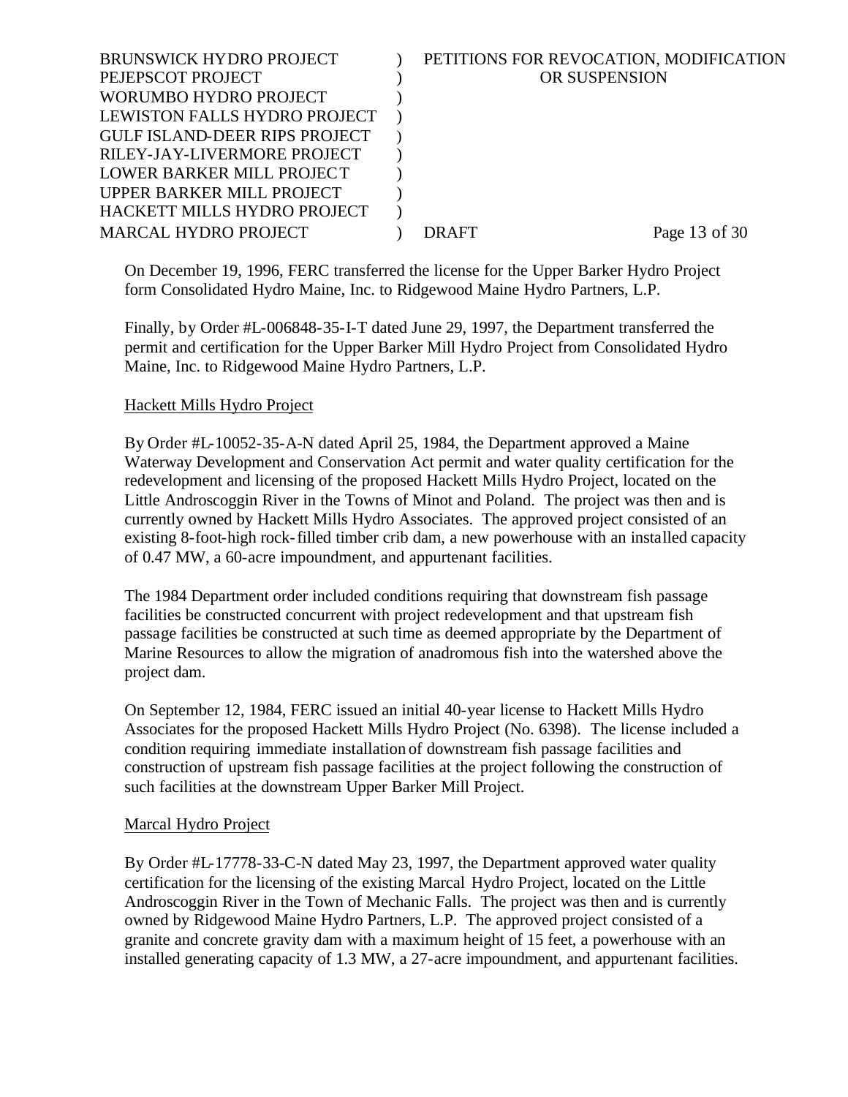| OR SUSPENSION<br>PEJEPSCOT PROJECT<br>WORUMBO HYDRO PROJECT<br>LEWISTON FALLS HYDRO PROJECT<br><b>GULF ISLAND-DEER RIPS PROJECT</b><br>RILEY-JAY-LIVERMORE PROJECT<br>LOWER BARKER MILL PROJECT<br>UPPER BARKER MILL PROJECT<br>HACKETT MILLS HYDRO PROJECT<br><b>MARCAL HYDRO PROJECT</b><br>Page 13 of 30<br>DR AFT | <b>BRUNSWICK HYDRO PROJECT</b> | PETITIONS FOR REVOCATION, MODIFICATION |  |
|-----------------------------------------------------------------------------------------------------------------------------------------------------------------------------------------------------------------------------------------------------------------------------------------------------------------------|--------------------------------|----------------------------------------|--|
|                                                                                                                                                                                                                                                                                                                       |                                |                                        |  |
|                                                                                                                                                                                                                                                                                                                       |                                |                                        |  |
|                                                                                                                                                                                                                                                                                                                       |                                |                                        |  |
|                                                                                                                                                                                                                                                                                                                       |                                |                                        |  |
|                                                                                                                                                                                                                                                                                                                       |                                |                                        |  |
|                                                                                                                                                                                                                                                                                                                       |                                |                                        |  |
|                                                                                                                                                                                                                                                                                                                       |                                |                                        |  |
|                                                                                                                                                                                                                                                                                                                       |                                |                                        |  |
|                                                                                                                                                                                                                                                                                                                       |                                |                                        |  |

On December 19, 1996, FERC transferred the license for the Upper Barker Hydro Project form Consolidated Hydro Maine, Inc. to Ridgewood Maine Hydro Partners, L.P.

Finally, by Order #L-006848-35-I-T dated June 29, 1997, the Department transferred the permit and certification for the Upper Barker Mill Hydro Project from Consolidated Hydro Maine, Inc. to Ridgewood Maine Hydro Partners, L.P.

## Hackett Mills Hydro Project

By Order #L-10052-35-A-N dated April 25, 1984, the Department approved a Maine Waterway Development and Conservation Act permit and water quality certification for the redevelopment and licensing of the proposed Hackett Mills Hydro Project, located on the Little Androscoggin River in the Towns of Minot and Poland. The project was then and is currently owned by Hackett Mills Hydro Associates. The approved project consisted of an existing 8-foot-high rock-filled timber crib dam, a new powerhouse with an installed capacity of 0.47 MW, a 60-acre impoundment, and appurtenant facilities.

The 1984 Department order included conditions requiring that downstream fish passage facilities be constructed concurrent with project redevelopment and that upstream fish passage facilities be constructed at such time as deemed appropriate by the Department of Marine Resources to allow the migration of anadromous fish into the watershed above the project dam.

On September 12, 1984, FERC issued an initial 40-year license to Hackett Mills Hydro Associates for the proposed Hackett Mills Hydro Project (No. 6398). The license included a condition requiring immediate installation of downstream fish passage facilities and construction of upstream fish passage facilities at the project following the construction of such facilities at the downstream Upper Barker Mill Project.

## Marcal Hydro Project

By Order #L-17778-33-C-N dated May 23, 1997, the Department approved water quality certification for the licensing of the existing Marcal Hydro Project, located on the Little Androscoggin River in the Town of Mechanic Falls. The project was then and is currently owned by Ridgewood Maine Hydro Partners, L.P. The approved project consisted of a granite and concrete gravity dam with a maximum height of 15 feet, a powerhouse with an installed generating capacity of 1.3 MW, a 27-acre impoundment, and appurtenant facilities.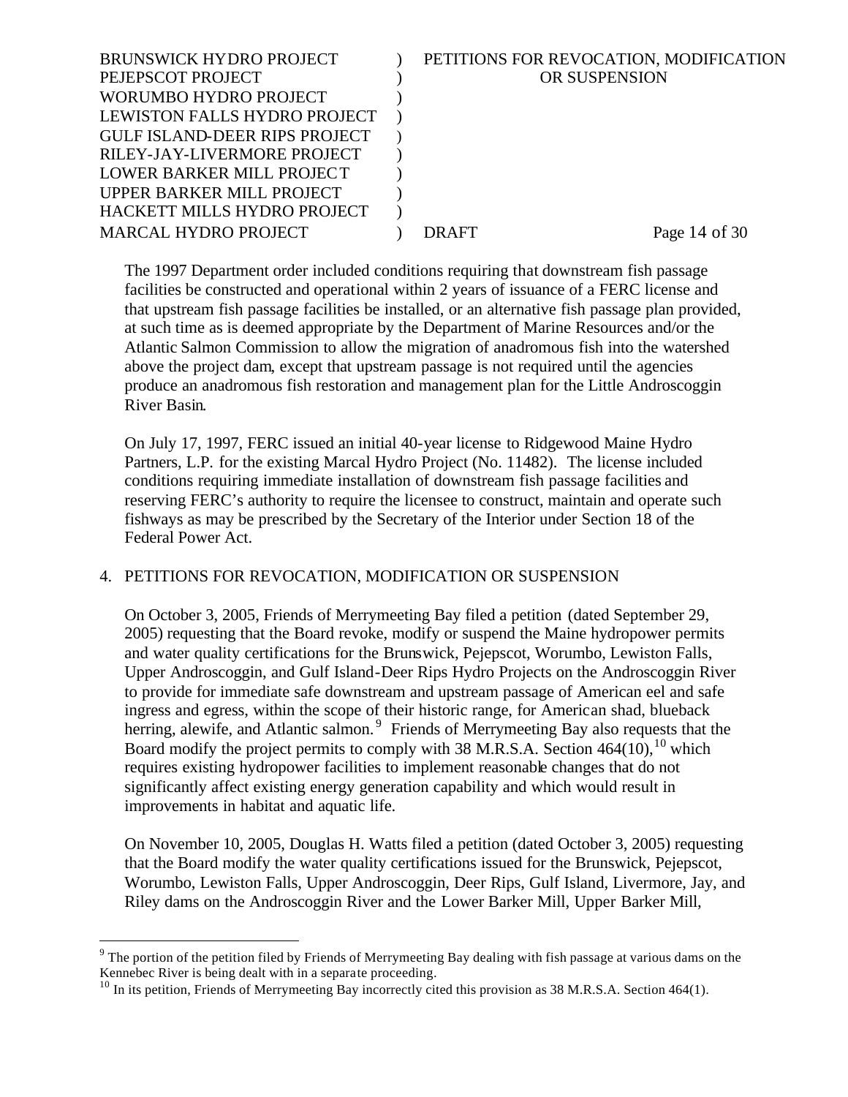| <b>BRUNSWICK HYDRO PROJECT</b>       | PETITIONS FOR REVOCATION, MODIFICATION |
|--------------------------------------|----------------------------------------|
| PEJEPSCOT PROJECT                    | OR SUSPENSION                          |
| WORUMBO HYDRO PROJECT                |                                        |
| LEWISTON FALLS HYDRO PROJECT         |                                        |
| <b>GULF ISLAND-DEER RIPS PROJECT</b> |                                        |
| RILEY-JAY-LIVERMORE PROJECT          |                                        |
| LOWER BARKER MILL PROJECT            |                                        |
| UPPER BARKER MILL PROJECT            |                                        |
| HACKETT MILLS HYDRO PROJECT          |                                        |
| <b>MARCAL HYDRO PROJECT</b>          | Page $14$ of $30$<br>DRAFT             |
|                                      |                                        |

The 1997 Department order included conditions requiring that downstream fish passage facilities be constructed and operational within 2 years of issuance of a FERC license and that upstream fish passage facilities be installed, or an alternative fish passage plan provided, at such time as is deemed appropriate by the Department of Marine Resources and/or the Atlantic Salmon Commission to allow the migration of anadromous fish into the watershed above the project dam, except that upstream passage is not required until the agencies produce an anadromous fish restoration and management plan for the Little Androscoggin River Basin.

On July 17, 1997, FERC issued an initial 40-year license to Ridgewood Maine Hydro Partners, L.P. for the existing Marcal Hydro Project (No. 11482). The license included conditions requiring immediate installation of downstream fish passage facilities and reserving FERC's authority to require the licensee to construct, maintain and operate such fishways as may be prescribed by the Secretary of the Interior under Section 18 of the Federal Power Act.

## 4. PETITIONS FOR REVOCATION, MODIFICATION OR SUSPENSION

On October 3, 2005, Friends of Merrymeeting Bay filed a petition (dated September 29, 2005) requesting that the Board revoke, modify or suspend the Maine hydropower permits and water quality certifications for the Brunswick, Pejepscot, Worumbo, Lewiston Falls, Upper Androscoggin, and Gulf Island-Deer Rips Hydro Projects on the Androscoggin River to provide for immediate safe downstream and upstream passage of American eel and safe ingress and egress, within the scope of their historic range, for American shad, blueback herring, alewife, and Atlantic salmon.<sup>9</sup> Friends of Merrymeeting Bay also requests that the Board modify the project permits to comply with 38 M.R.S.A. Section  $464(10)$ ,  $10$  which requires existing hydropower facilities to implement reasonable changes that do not significantly affect existing energy generation capability and which would result in improvements in habitat and aquatic life.

On November 10, 2005, Douglas H. Watts filed a petition (dated October 3, 2005) requesting that the Board modify the water quality certifications issued for the Brunswick, Pejepscot, Worumbo, Lewiston Falls, Upper Androscoggin, Deer Rips, Gulf Island, Livermore, Jay, and Riley dams on the Androscoggin River and the Lower Barker Mill, Upper Barker Mill,

 $9$  The portion of the petition filed by Friends of Merrymeeting Bay dealing with fish passage at various dams on the Kennebec River is being dealt with in a separate proceeding.

 $10$  In its petition, Friends of Merrymeeting Bay incorrectly cited this provision as 38 M.R.S.A. Section 464(1).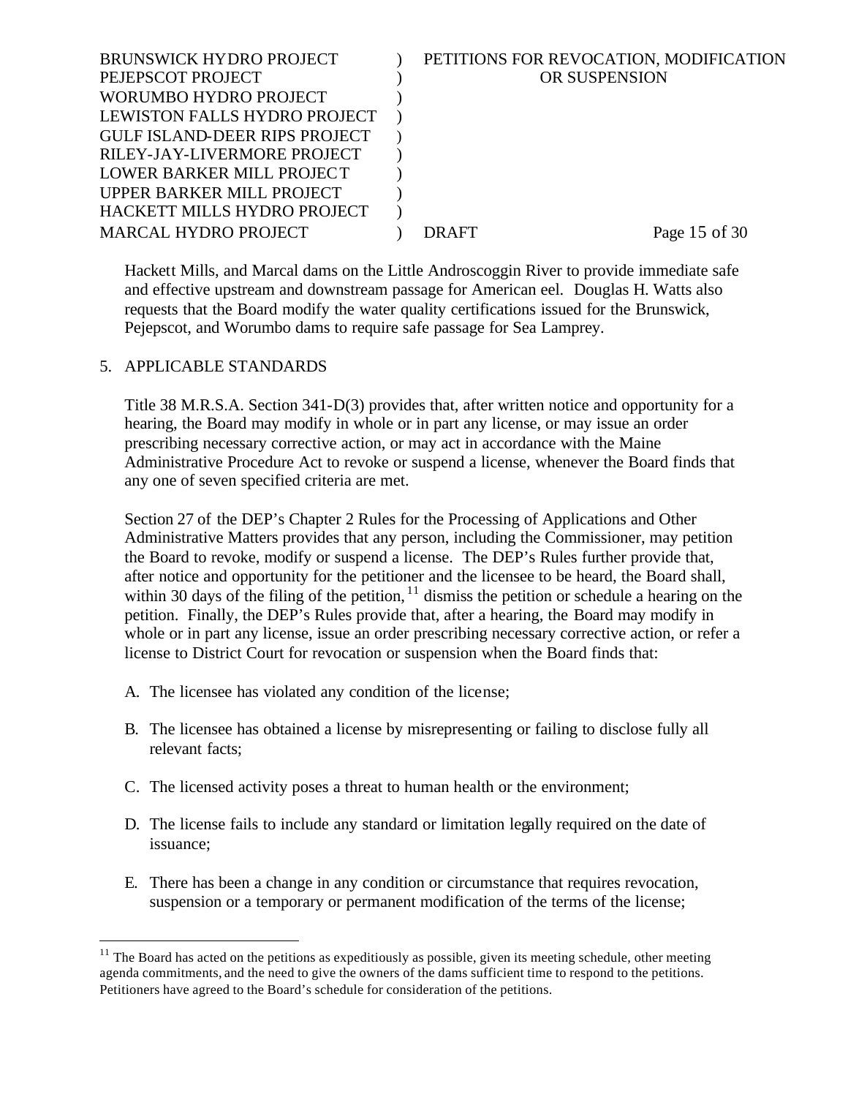| <b>BRUNSWICK HYDRO PROJECT</b>       | PETITIONS FOR REVOCATION, MODIFICATION |
|--------------------------------------|----------------------------------------|
| PEJEPSCOT PROJECT                    | OR SUSPENSION                          |
| WORUMBO HYDRO PROJECT                |                                        |
| LEWISTON FALLS HYDRO PROJECT         |                                        |
| <b>GULF ISLAND-DEER RIPS PROJECT</b> |                                        |
| RILEY-JAY-LIVERMORE PROJECT          |                                        |
| LOWER BARKER MILL PROJECT            |                                        |
| UPPER BARKER MILL PROJECT            |                                        |
| HACKETT MILLS HYDRO PROJECT          |                                        |
| <b>MARCAL HYDRO PROJECT</b>          | Page 15 of 30<br>DR AFT                |
|                                      |                                        |

Hackett Mills, and Marcal dams on the Little Androscoggin River to provide immediate safe and effective upstream and downstream passage for American eel. Douglas H. Watts also requests that the Board modify the water quality certifications issued for the Brunswick, Pejepscot, and Worumbo dams to require safe passage for Sea Lamprey.

#### 5. APPLICABLE STANDARDS

l

Title 38 M.R.S.A. Section 341-D(3) provides that, after written notice and opportunity for a hearing, the Board may modify in whole or in part any license, or may issue an order prescribing necessary corrective action, or may act in accordance with the Maine Administrative Procedure Act to revoke or suspend a license, whenever the Board finds that any one of seven specified criteria are met.

Section 27 of the DEP's Chapter 2 Rules for the Processing of Applications and Other Administrative Matters provides that any person, including the Commissioner, may petition the Board to revoke, modify or suspend a license. The DEP's Rules further provide that, after notice and opportunity for the petitioner and the licensee to be heard, the Board shall, within 30 days of the filing of the petition,  $\frac{11}{11}$  dismiss the petition or schedule a hearing on the petition. Finally, the DEP's Rules provide that, after a hearing, the Board may modify in whole or in part any license, issue an order prescribing necessary corrective action, or refer a license to District Court for revocation or suspension when the Board finds that:

- A. The licensee has violated any condition of the license;
- B. The licensee has obtained a license by misrepresenting or failing to disclose fully all relevant facts;
- C. The licensed activity poses a threat to human health or the environment;
- D. The license fails to include any standard or limitation legally required on the date of issuance;
- E. There has been a change in any condition or circumstance that requires revocation, suspension or a temporary or permanent modification of the terms of the license;

 $11$  The Board has acted on the petitions as expeditiously as possible, given its meeting schedule, other meeting agenda commitments, and the need to give the owners of the dams sufficient time to respond to the petitions. Petitioners have agreed to the Board's schedule for consideration of the petitions.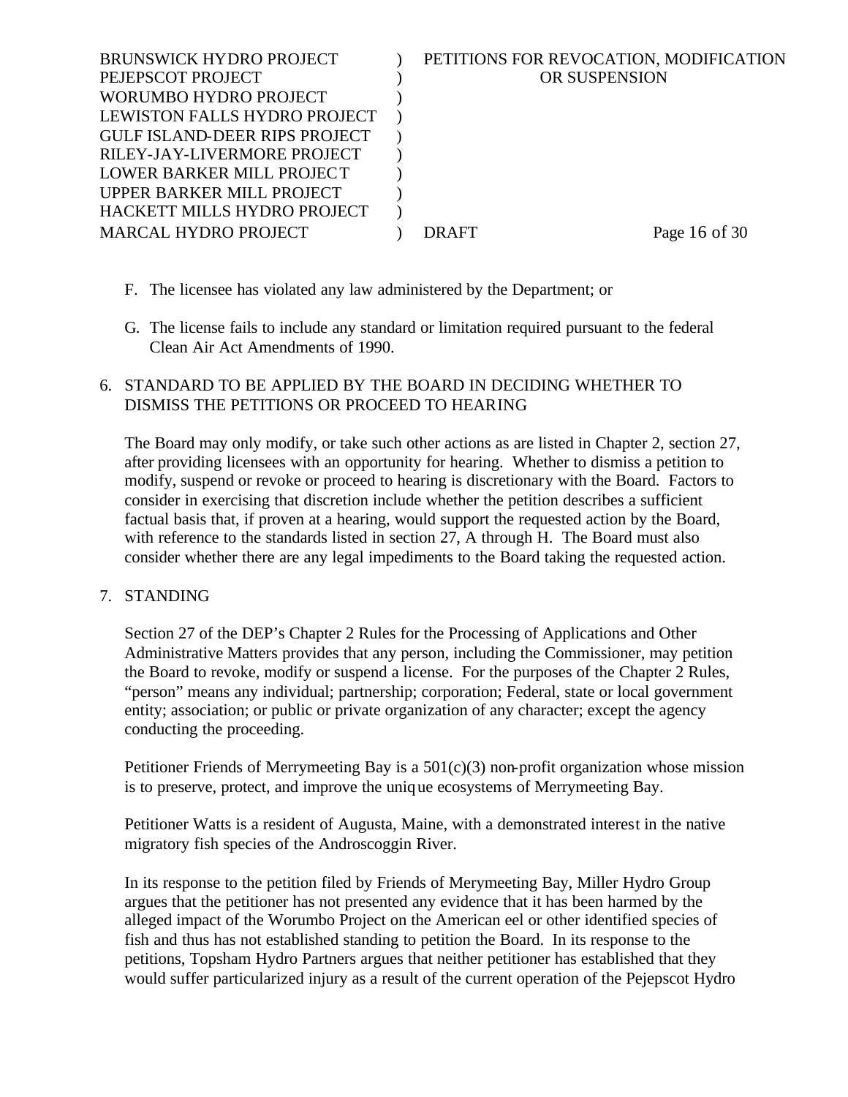| <b>BRUNSWICK HYDRO PROJECT</b><br>PEJEPSCOT PROJECT                  | PETITIONS FOR REVOCATION, MODIFICATION<br>OR SUSPENSION |               |
|----------------------------------------------------------------------|---------------------------------------------------------|---------------|
| WORUMBO HYDRO PROJECT                                                |                                                         |               |
| LEWISTON FALLS HYDRO PROJECT<br><b>GULF ISLAND-DEER RIPS PROJECT</b> |                                                         |               |
| RILEY-JAY-LIVERMORE PROJECT                                          |                                                         |               |
| LOWER BARKER MILL PROJECT<br>UPPER BARKER MILL PROJECT               |                                                         |               |
| HACKETT MILLS HYDRO PROJECT                                          |                                                         |               |
| <b>MARCAL HYDRO PROJECT</b>                                          | <b>DRAFT</b>                                            | Page 16 of 30 |

- F. The licensee has violated any law administered by the Department; or
- G. The license fails to include any standard or limitation required pursuant to the federal Clean Air Act Amendments of 1990.

## 6. STANDARD TO BE APPLIED BY THE BOARD IN DECIDING WHETHER TO DISMISS THE PETITIONS OR PROCEED TO HEARING

The Board may only modify, or take such other actions as are listed in Chapter 2, section 27, after providing licensees with an opportunity for hearing. Whether to dismiss a petition to modify, suspend or revoke or proceed to hearing is discretionary with the Board. Factors to consider in exercising that discretion include whether the petition describes a sufficient factual basis that, if proven at a hearing, would support the requested action by the Board, with reference to the standards listed in section 27, A through H. The Board must also consider whether there are any legal impediments to the Board taking the requested action.

## 7. STANDING

Section 27 of the DEP's Chapter 2 Rules for the Processing of Applications and Other Administrative Matters provides that any person, including the Commissioner, may petition the Board to revoke, modify or suspend a license. For the purposes of the Chapter 2 Rules, "person" means any individual; partnership; corporation; Federal, state or local government entity; association; or public or private organization of any character; except the agency conducting the proceeding.

Petitioner Friends of Merrymeeting Bay is a  $501(c)(3)$  non-profit organization whose mission is to preserve, protect, and improve the unique ecosystems of Merrymeeting Bay.

Petitioner Watts is a resident of Augusta, Maine, with a demonstrated interest in the native migratory fish species of the Androscoggin River.

In its response to the petition filed by Friends of Merymeeting Bay, Miller Hydro Group argues that the petitioner has not presented any evidence that it has been harmed by the alleged impact of the Worumbo Project on the American eel or other identified species of fish and thus has not established standing to petition the Board. In its response to the petitions, Topsham Hydro Partners argues that neither petitioner has established that they would suffer particularized injury as a result of the current operation of the Pejepscot Hydro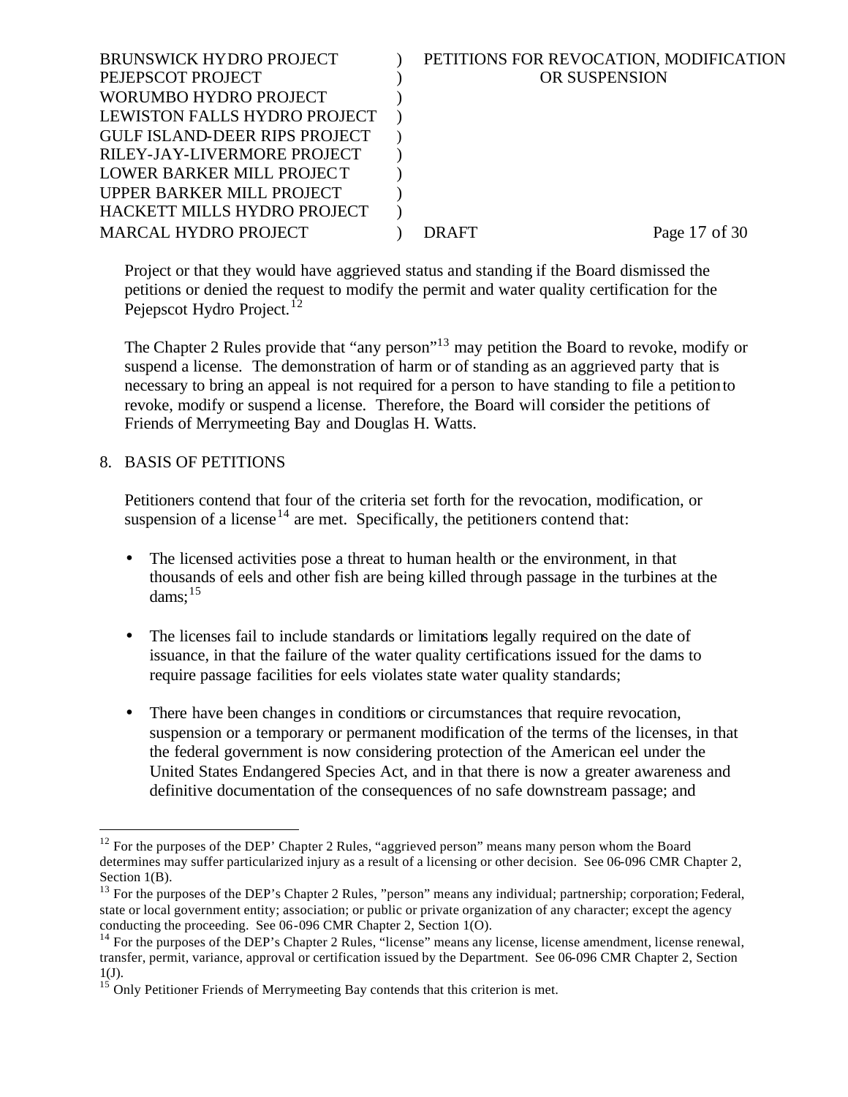| PETITIONS FOR REVOCATION, MODIFICATION |
|----------------------------------------|
| OR SUSPENSION                          |
|                                        |
|                                        |
|                                        |
|                                        |
|                                        |
|                                        |
|                                        |
| Page 17 of 30<br>DR AFT                |
|                                        |

Project or that they would have aggrieved status and standing if the Board dismissed the petitions or denied the request to modify the permit and water quality certification for the Pejepscot Hydro Project.<sup>12</sup>

The Chapter 2 Rules provide that "any person"<sup>13</sup> may petition the Board to revoke, modify or suspend a license. The demonstration of harm or of standing as an aggrieved party that is necessary to bring an appeal is not required for a person to have standing to file a petition to revoke, modify or suspend a license. Therefore, the Board will consider the petitions of Friends of Merrymeeting Bay and Douglas H. Watts.

## 8. BASIS OF PETITIONS

l

Petitioners contend that four of the criteria set forth for the revocation, modification, or suspension of a license<sup>14</sup> are met. Specifically, the petitioners contend that:

- The licensed activities pose a threat to human health or the environment, in that thousands of eels and other fish are being killed through passage in the turbines at the dams: $15$
- The licenses fail to include standards or limitations legally required on the date of issuance, in that the failure of the water quality certifications issued for the dams to require passage facilities for eels violates state water quality standards;
- There have been changes in conditions or circumstances that require revocation, suspension or a temporary or permanent modification of the terms of the licenses, in that the federal government is now considering protection of the American eel under the United States Endangered Species Act, and in that there is now a greater awareness and definitive documentation of the consequences of no safe downstream passage; and

 $12$  For the purposes of the DEP' Chapter 2 Rules, "aggrieved person" means many person whom the Board determines may suffer particularized injury as a result of a licensing or other decision. See 06-096 CMR Chapter 2, Section 1(B).

 $13$  For the purposes of the DEP's Chapter 2 Rules, "person" means any individual; partnership; corporation; Federal, state or local government entity; association; or public or private organization of any character; except the agency conducting the proceeding. See 06-096 CMR Chapter 2, Section 1(O).

<sup>&</sup>lt;sup>14</sup> For the purposes of the DEP's Chapter 2 Rules, "license" means any license, license amendment, license renewal, transfer, permit, variance, approval or certification issued by the Department. See 06-096 CMR Chapter 2, Section 1(J).

 $15$  Only Petitioner Friends of Merrymeeting Bay contends that this criterion is met.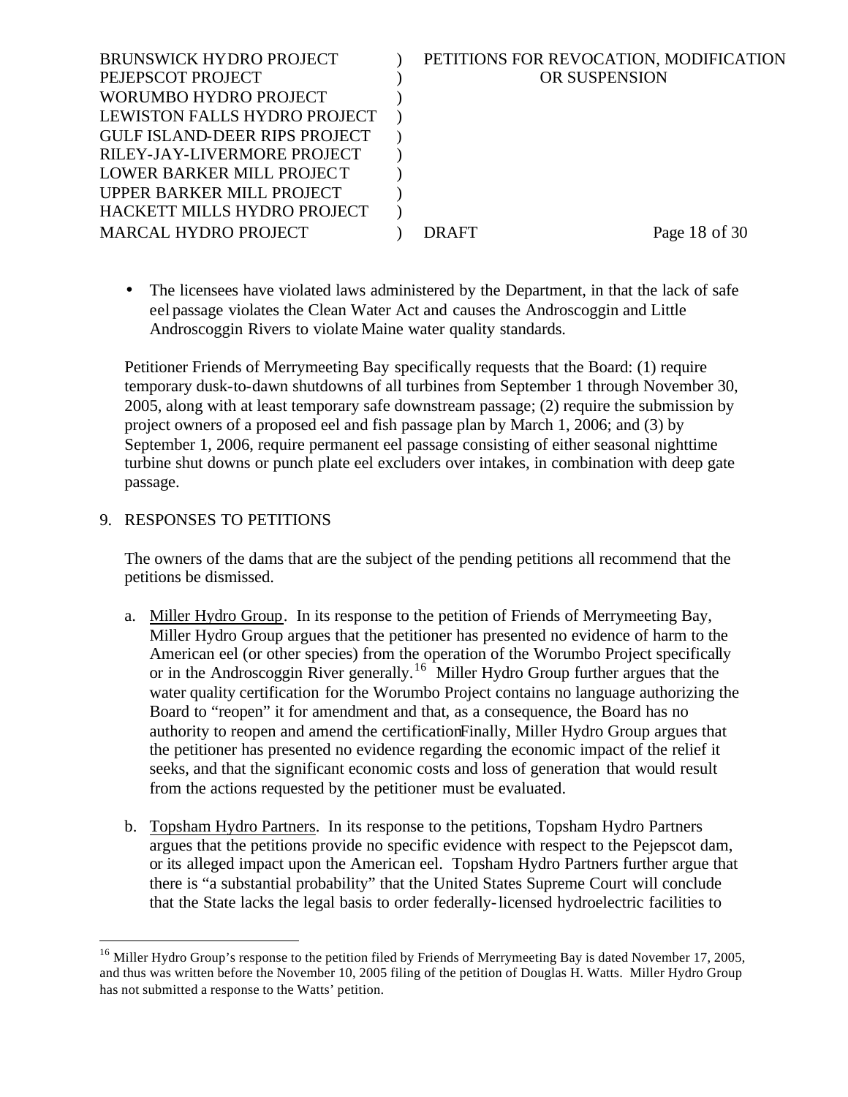| PETITIONS FOR REVOCATION, MODIFICATION |               |
|----------------------------------------|---------------|
| <b>OR SUSPENSION</b>                   |               |
|                                        |               |
|                                        |               |
|                                        |               |
|                                        |               |
|                                        |               |
|                                        |               |
|                                        |               |
| DRAFT                                  | Page 18 of 30 |
|                                        |               |

• The licensees have violated laws administered by the Department, in that the lack of safe eel passage violates the Clean Water Act and causes the Androscoggin and Little Androscoggin Rivers to violate Maine water quality standards.

Petitioner Friends of Merrymeeting Bay specifically requests that the Board: (1) require temporary dusk-to-dawn shutdowns of all turbines from September 1 through November 30, 2005, along with at least temporary safe downstream passage; (2) require the submission by project owners of a proposed eel and fish passage plan by March 1, 2006; and (3) by September 1, 2006, require permanent eel passage consisting of either seasonal nighttime turbine shut downs or punch plate eel excluders over intakes, in combination with deep gate passage.

#### 9. RESPONSES TO PETITIONS

l

The owners of the dams that are the subject of the pending petitions all recommend that the petitions be dismissed.

- a. Miller Hydro Group. In its response to the petition of Friends of Merrymeeting Bay, Miller Hydro Group argues that the petitioner has presented no evidence of harm to the American eel (or other species) from the operation of the Worumbo Project specifically or in the Androscoggin River generally.<sup>16</sup> Miller Hydro Group further argues that the water quality certification for the Worumbo Project contains no language authorizing the Board to "reopen" it for amendment and that, as a consequence, the Board has no authority to reopen and amend the certificationFinally, Miller Hydro Group argues that the petitioner has presented no evidence regarding the economic impact of the relief it seeks, and that the significant economic costs and loss of generation that would result from the actions requested by the petitioner must be evaluated.
- b. Topsham Hydro Partners. In its response to the petitions, Topsham Hydro Partners argues that the petitions provide no specific evidence with respect to the Pejepscot dam, or its alleged impact upon the American eel. Topsham Hydro Partners further argue that there is "a substantial probability" that the United States Supreme Court will conclude that the State lacks the legal basis to order federally-licensed hydroelectric facilities to

<sup>&</sup>lt;sup>16</sup> Miller Hydro Group's response to the petition filed by Friends of Merrymeeting Bay is dated November 17, 2005, and thus was written before the November 10, 2005 filing of the petition of Douglas H. Watts. Miller Hydro Group has not submitted a response to the Watts' petition.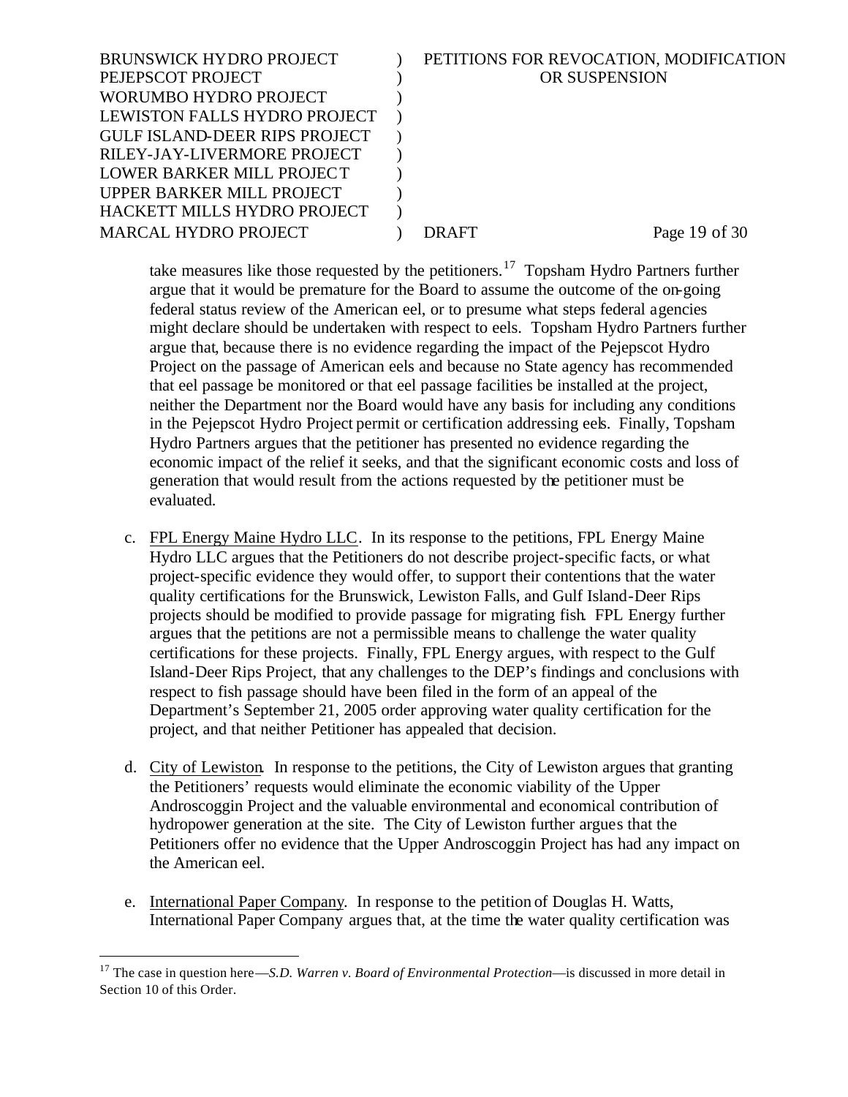| <b>BRUNSWICK HYDRO PROJECT</b>       | PETITIONS FOR REVOCATION, MODIFICATION |
|--------------------------------------|----------------------------------------|
| PEJEPSCOT PROJECT                    | OR SUSPENSION                          |
| WORUMBO HYDRO PROJECT                |                                        |
| LEWISTON FALLS HYDRO PROJECT         |                                        |
| <b>GULF ISLAND-DEER RIPS PROJECT</b> |                                        |
| RILEY-JAY-LIVERMORE PROJECT          |                                        |
| LOWER BARKER MILL PROJECT            |                                        |
| UPPER BARKER MILL PROJECT            |                                        |
| HACKETT MILLS HYDRO PROJECT          |                                        |
| <b>MARCAL HYDRO PROJECT</b>          | Page 19 of 30<br>DR AFT                |
|                                      |                                        |

take measures like those requested by the petitioners.<sup>17</sup> Topsham Hydro Partners further argue that it would be premature for the Board to assume the outcome of the on-going federal status review of the American eel, or to presume what steps federal agencies might declare should be undertaken with respect to eels. Topsham Hydro Partners further argue that, because there is no evidence regarding the impact of the Pejepscot Hydro Project on the passage of American eels and because no State agency has recommended that eel passage be monitored or that eel passage facilities be installed at the project, neither the Department nor the Board would have any basis for including any conditions in the Pejepscot Hydro Project permit or certification addressing eels. Finally, Topsham Hydro Partners argues that the petitioner has presented no evidence regarding the economic impact of the relief it seeks, and that the significant economic costs and loss of generation that would result from the actions requested by the petitioner must be evaluated.

- c. FPL Energy Maine Hydro LLC. In its response to the petitions, FPL Energy Maine Hydro LLC argues that the Petitioners do not describe project-specific facts, or what project-specific evidence they would offer, to support their contentions that the water quality certifications for the Brunswick, Lewiston Falls, and Gulf Island-Deer Rips projects should be modified to provide passage for migrating fish. FPL Energy further argues that the petitions are not a permissible means to challenge the water quality certifications for these projects. Finally, FPL Energy argues, with respect to the Gulf Island-Deer Rips Project, that any challenges to the DEP's findings and conclusions with respect to fish passage should have been filed in the form of an appeal of the Department's September 21, 2005 order approving water quality certification for the project, and that neither Petitioner has appealed that decision.
- d. City of Lewiston. In response to the petitions, the City of Lewiston argues that granting the Petitioners' requests would eliminate the economic viability of the Upper Androscoggin Project and the valuable environmental and economical contribution of hydropower generation at the site. The City of Lewiston further argues that the Petitioners offer no evidence that the Upper Androscoggin Project has had any impact on the American eel.
- e. International Paper Company. In response to the petition of Douglas H. Watts, International Paper Company argues that, at the time the water quality certification was

<sup>&</sup>lt;sup>17</sup> The case in question here—*S.D. Warren v. Board of Environmental Protection*—is discussed in more detail in Section 10 of this Order.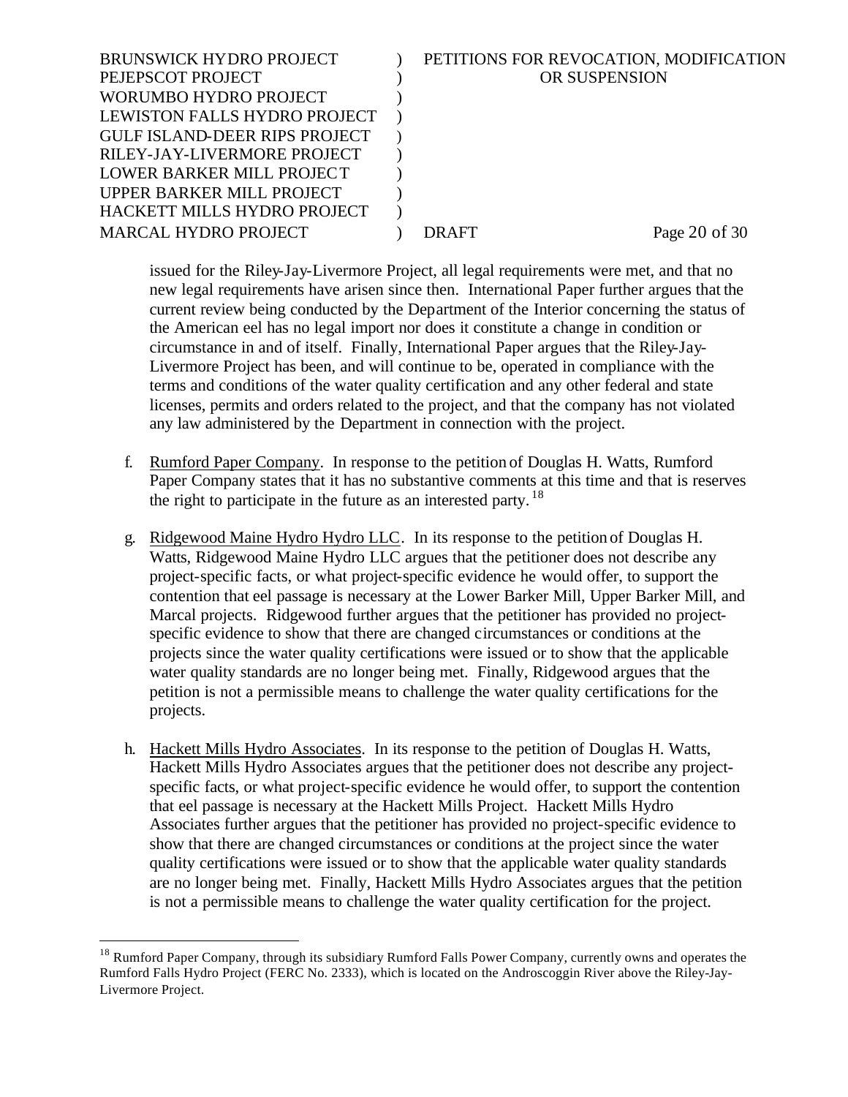| <b>BRUNSWICK HYDRO PROJECT</b>       | PETITIONS FOR REVOCATION, MODIFICATION |
|--------------------------------------|----------------------------------------|
| PEJEPSCOT PROJECT                    | OR SUSPENSION                          |
| WORUMBO HYDRO PROJECT                |                                        |
| LEWISTON FALLS HYDRO PROJECT         |                                        |
| <b>GULF ISLAND-DEER RIPS PROJECT</b> |                                        |
| RILEY-JAY-LIVERMORE PROJECT          |                                        |
| LOWER BARKER MILL PROJECT            |                                        |
| UPPER BARKER MILL PROJECT            |                                        |
| HACKETT MILLS HYDRO PROJECT          |                                        |
| <b>MARCAL HYDRO PROJECT</b>          | Page 20 of 30<br>DR AFT                |
|                                      |                                        |

issued for the Riley-Jay-Livermore Project, all legal requirements were met, and that no new legal requirements have arisen since then. International Paper further argues that the current review being conducted by the Department of the Interior concerning the status of the American eel has no legal import nor does it constitute a change in condition or circumstance in and of itself. Finally, International Paper argues that the Riley-Jay-Livermore Project has been, and will continue to be, operated in compliance with the terms and conditions of the water quality certification and any other federal and state licenses, permits and orders related to the project, and that the company has not violated any law administered by the Department in connection with the project.

- f. Rumford Paper Company. In response to the petition of Douglas H. Watts, Rumford Paper Company states that it has no substantive comments at this time and that is reserves the right to participate in the future as an interested party.  $18$
- g. Ridgewood Maine Hydro Hydro LLC. In its response to the petition of Douglas H. Watts, Ridgewood Maine Hydro LLC argues that the petitioner does not describe any project-specific facts, or what project-specific evidence he would offer, to support the contention that eel passage is necessary at the Lower Barker Mill, Upper Barker Mill, and Marcal projects. Ridgewood further argues that the petitioner has provided no projectspecific evidence to show that there are changed circumstances or conditions at the projects since the water quality certifications were issued or to show that the applicable water quality standards are no longer being met. Finally, Ridgewood argues that the petition is not a permissible means to challenge the water quality certifications for the projects.
- h. Hackett Mills Hydro Associates. In its response to the petition of Douglas H. Watts, Hackett Mills Hydro Associates argues that the petitioner does not describe any projectspecific facts, or what project-specific evidence he would offer, to support the contention that eel passage is necessary at the Hackett Mills Project. Hackett Mills Hydro Associates further argues that the petitioner has provided no project-specific evidence to show that there are changed circumstances or conditions at the project since the water quality certifications were issued or to show that the applicable water quality standards are no longer being met. Finally, Hackett Mills Hydro Associates argues that the petition is not a permissible means to challenge the water quality certification for the project.

<sup>&</sup>lt;sup>18</sup> Rumford Paper Company, through its subsidiary Rumford Falls Power Company, currently owns and operates the Rumford Falls Hydro Project (FERC No. 2333), which is located on the Androscoggin River above the Riley-Jay-Livermore Project.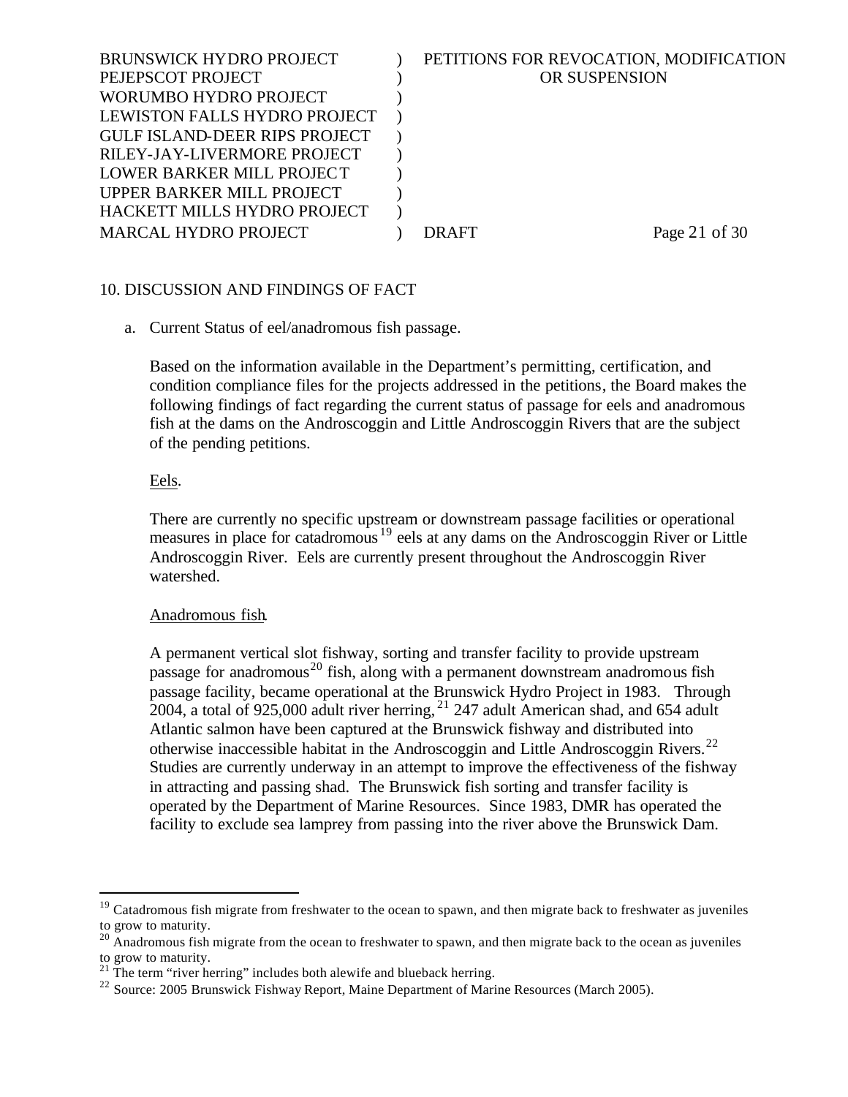| <b>BRUNSWICK HYDRO PROJECT</b><br>PEJEPSCOT PROJECT | PETITIONS FOR REVOCATION, MODIFICATION<br>OR SUSPENSION |  |
|-----------------------------------------------------|---------------------------------------------------------|--|
| WORUMBO HYDRO PROJECT                               |                                                         |  |
| LEWISTON FALLS HYDRO PROJECT                        |                                                         |  |
| <b>GULF ISLAND-DEER RIPS PROJECT</b>                |                                                         |  |
| RILEY-JAY-LIVERMORE PROJECT                         |                                                         |  |
| LOWER BARKER MILL PROJECT                           |                                                         |  |
| UPPER BARKER MILL PROJECT                           |                                                         |  |
| HACKETT MILLS HYDRO PROJECT                         |                                                         |  |
| <b>MARCAL HYDRO PROJECT</b>                         | Page 21 of 30<br>DRAFT                                  |  |
|                                                     |                                                         |  |

## 10. DISCUSSION AND FINDINGS OF FACT

a. Current Status of eel/anadromous fish passage.

Based on the information available in the Department's permitting, certification, and condition compliance files for the projects addressed in the petitions, the Board makes the following findings of fact regarding the current status of passage for eels and anadromous fish at the dams on the Androscoggin and Little Androscoggin Rivers that are the subject of the pending petitions.

Eels.

l

There are currently no specific upstream or downstream passage facilities or operational measures in place for catadromous <sup>19</sup> eels at any dams on the Androscoggin River or Little Androscoggin River. Eels are currently present throughout the Androscoggin River watershed.

## Anadromous fish.

A permanent vertical slot fishway, sorting and transfer facility to provide upstream passage for anadromous<sup>20</sup> fish, along with a permanent downstream anadromous fish passage facility, became operational at the Brunswick Hydro Project in 1983. Through 2004, a total of 925,000 adult river herring,  $21$  247 adult American shad, and 654 adult Atlantic salmon have been captured at the Brunswick fishway and distributed into otherwise inaccessible habitat in the Androscoggin and Little Androscoggin Rivers.<sup>22</sup> Studies are currently underway in an attempt to improve the effectiveness of the fishway in attracting and passing shad. The Brunswick fish sorting and transfer facility is operated by the Department of Marine Resources. Since 1983, DMR has operated the facility to exclude sea lamprey from passing into the river above the Brunswick Dam.

 $19$  Catadromous fish migrate from freshwater to the ocean to spawn, and then migrate back to freshwater as juveniles to grow to maturity.

<sup>&</sup>lt;sup>20</sup> Anadromous fish migrate from the ocean to freshwater to spawn, and then migrate back to the ocean as juveniles to grow to maturity.

 $21$ <sup>21</sup> The term "river herring" includes both alewife and blueback herring.

<sup>&</sup>lt;sup>22</sup> Source: 2005 Brunswick Fishway Report, Maine Department of Marine Resources (March 2005).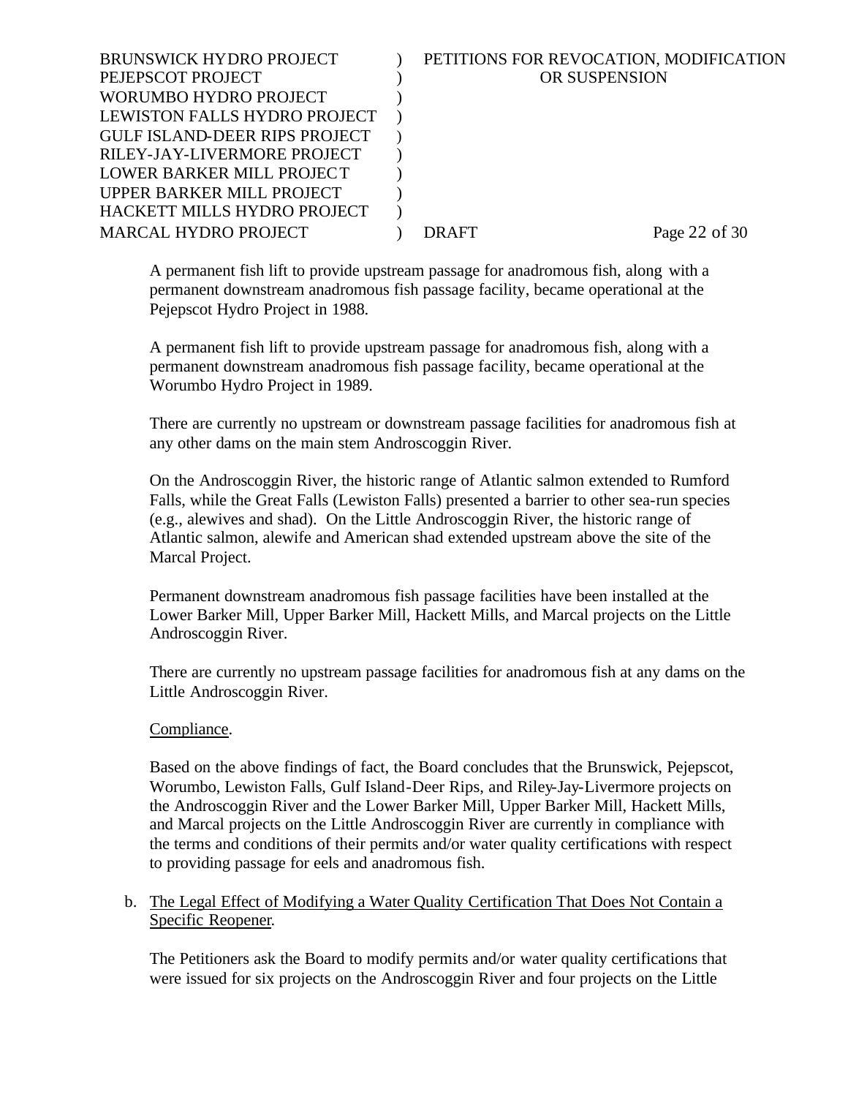| <b>BRUNSWICK HYDRO PROJECT</b>       | PETITIONS FOR REVOCATION, MODIFICATION |
|--------------------------------------|----------------------------------------|
| PEJEPSCOT PROJECT                    | <b>OR SUSPENSION</b>                   |
| WORUMBO HYDRO PROJECT                |                                        |
| LEWISTON FALLS HYDRO PROJECT         |                                        |
| <b>GULF ISLAND-DEER RIPS PROJECT</b> |                                        |
| RILEY-JAY-LIVERMORE PROJECT          |                                        |
| LOWER BARKER MILL PROJECT            |                                        |
| UPPER BARKER MILL PROJECT            |                                        |
| HACKETT MILLS HYDRO PROJECT          |                                        |
| <b>MARCAL HYDRO PROJECT</b>          | Page 22 of 30<br>DR AFT                |
|                                      |                                        |

A permanent fish lift to provide upstream passage for anadromous fish, along with a permanent downstream anadromous fish passage facility, became operational at the Pejepscot Hydro Project in 1988.

A permanent fish lift to provide upstream passage for anadromous fish, along with a permanent downstream anadromous fish passage facility, became operational at the Worumbo Hydro Project in 1989.

There are currently no upstream or downstream passage facilities for anadromous fish at any other dams on the main stem Androscoggin River.

On the Androscoggin River, the historic range of Atlantic salmon extended to Rumford Falls, while the Great Falls (Lewiston Falls) presented a barrier to other sea-run species (e.g., alewives and shad). On the Little Androscoggin River, the historic range of Atlantic salmon, alewife and American shad extended upstream above the site of the Marcal Project.

Permanent downstream anadromous fish passage facilities have been installed at the Lower Barker Mill, Upper Barker Mill, Hackett Mills, and Marcal projects on the Little Androscoggin River.

There are currently no upstream passage facilities for anadromous fish at any dams on the Little Androscoggin River.

## Compliance.

Based on the above findings of fact, the Board concludes that the Brunswick, Pejepscot, Worumbo, Lewiston Falls, Gulf Island-Deer Rips, and Riley-Jay-Livermore projects on the Androscoggin River and the Lower Barker Mill, Upper Barker Mill, Hackett Mills, and Marcal projects on the Little Androscoggin River are currently in compliance with the terms and conditions of their permits and/or water quality certifications with respect to providing passage for eels and anadromous fish.

#### b. The Legal Effect of Modifying a Water Quality Certification That Does Not Contain a Specific Reopener.

The Petitioners ask the Board to modify permits and/or water quality certifications that were issued for six projects on the Androscoggin River and four projects on the Little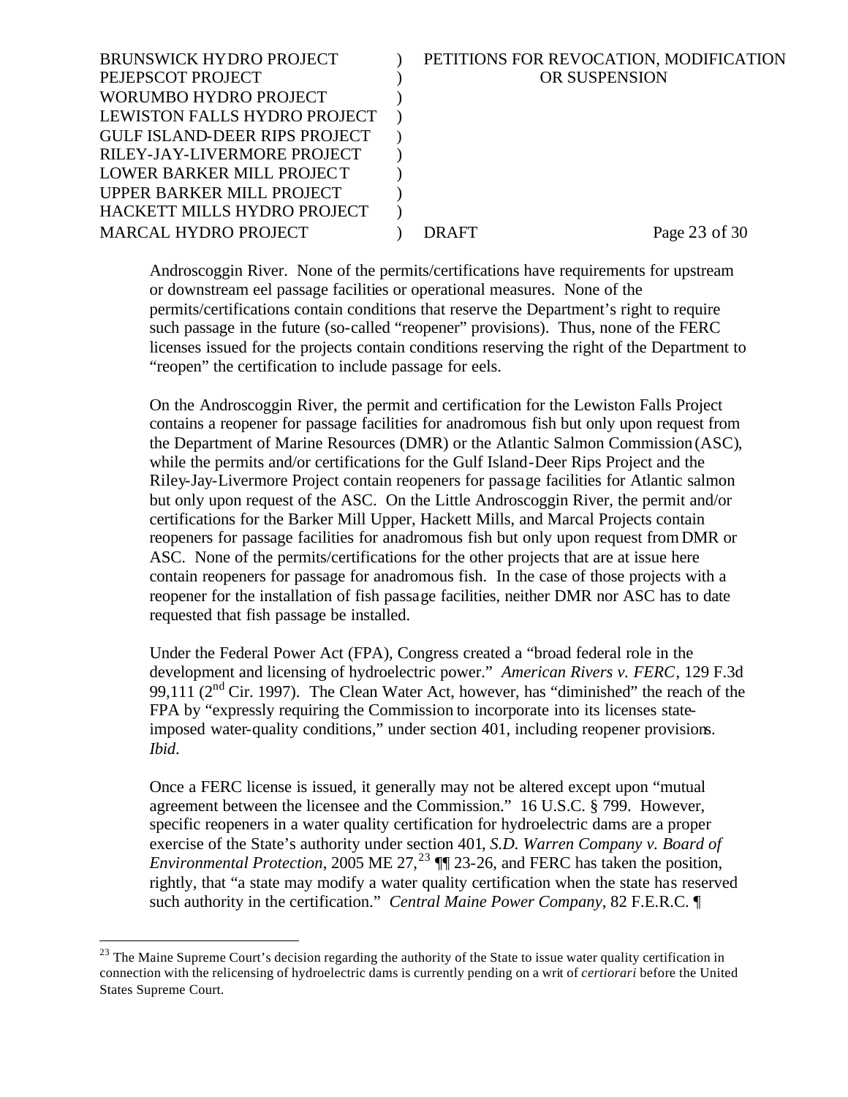| <b>BRUNSWICK HYDRO PROJECT</b>       | PETITIONS FOR REVOCATION, MODIFICATION |
|--------------------------------------|----------------------------------------|
| PEJEPSCOT PROJECT                    | OR SUSPENSION                          |
| WORUMBO HYDRO PROJECT                |                                        |
| LEWISTON FALLS HYDRO PROJECT         |                                        |
| <b>GULF ISLAND-DEER RIPS PROJECT</b> |                                        |
| RILEY-JAY-LIVERMORE PROJECT          |                                        |
| LOWER BARKER MILL PROJECT            |                                        |
| UPPER BARKER MILL PROJECT            |                                        |
| HACKETT MILLS HYDRO PROJECT          |                                        |
| <b>MARCAL HYDRO PROJECT</b>          | Page 23 of 30<br>DRAFT                 |
|                                      |                                        |

Androscoggin River. None of the permits/certifications have requirements for upstream or downstream eel passage facilities or operational measures. None of the permits/certifications contain conditions that reserve the Department's right to require such passage in the future (so-called "reopener" provisions). Thus, none of the FERC licenses issued for the projects contain conditions reserving the right of the Department to "reopen" the certification to include passage for eels.

On the Androscoggin River, the permit and certification for the Lewiston Falls Project contains a reopener for passage facilities for anadromous fish but only upon request from the Department of Marine Resources (DMR) or the Atlantic Salmon Commission (ASC), while the permits and/or certifications for the Gulf Island-Deer Rips Project and the Riley-Jay-Livermore Project contain reopeners for passage facilities for Atlantic salmon but only upon request of the ASC. On the Little Androscoggin River, the permit and/or certifications for the Barker Mill Upper, Hackett Mills, and Marcal Projects contain reopeners for passage facilities for anadromous fish but only upon request from DMR or ASC. None of the permits/certifications for the other projects that are at issue here contain reopeners for passage for anadromous fish. In the case of those projects with a reopener for the installation of fish passage facilities, neither DMR nor ASC has to date requested that fish passage be installed.

Under the Federal Power Act (FPA), Congress created a "broad federal role in the development and licensing of hydroelectric power." *American Rivers v. FERC*, 129 F.3d 99,111 ( $2<sup>nd</sup>$  Cir. 1997). The Clean Water Act, however, has "diminished" the reach of the FPA by "expressly requiring the Commission to incorporate into its licenses stateimposed water-quality conditions," under section 401, including reopener provisions. *Ibid*.

Once a FERC license is issued, it generally may not be altered except upon "mutual agreement between the licensee and the Commission." 16 U.S.C. § 799. However, specific reopeners in a water quality certification for hydroelectric dams are a proper exercise of the State's authority under section 401, *S.D. Warren Company v. Board of Environmental Protection*, 2005 ME 27,<sup>23</sup>  $\P$  23-26, and FERC has taken the position, rightly, that "a state may modify a water quality certification when the state has reserved such authority in the certification." *Central Maine Power Company*, 82 F.E.R.C. ¶

<sup>&</sup>lt;sup>23</sup> The Maine Supreme Court's decision regarding the authority of the State to issue water quality certification in connection with the relicensing of hydroelectric dams is currently pending on a writ of *certiorari* before the United States Supreme Court.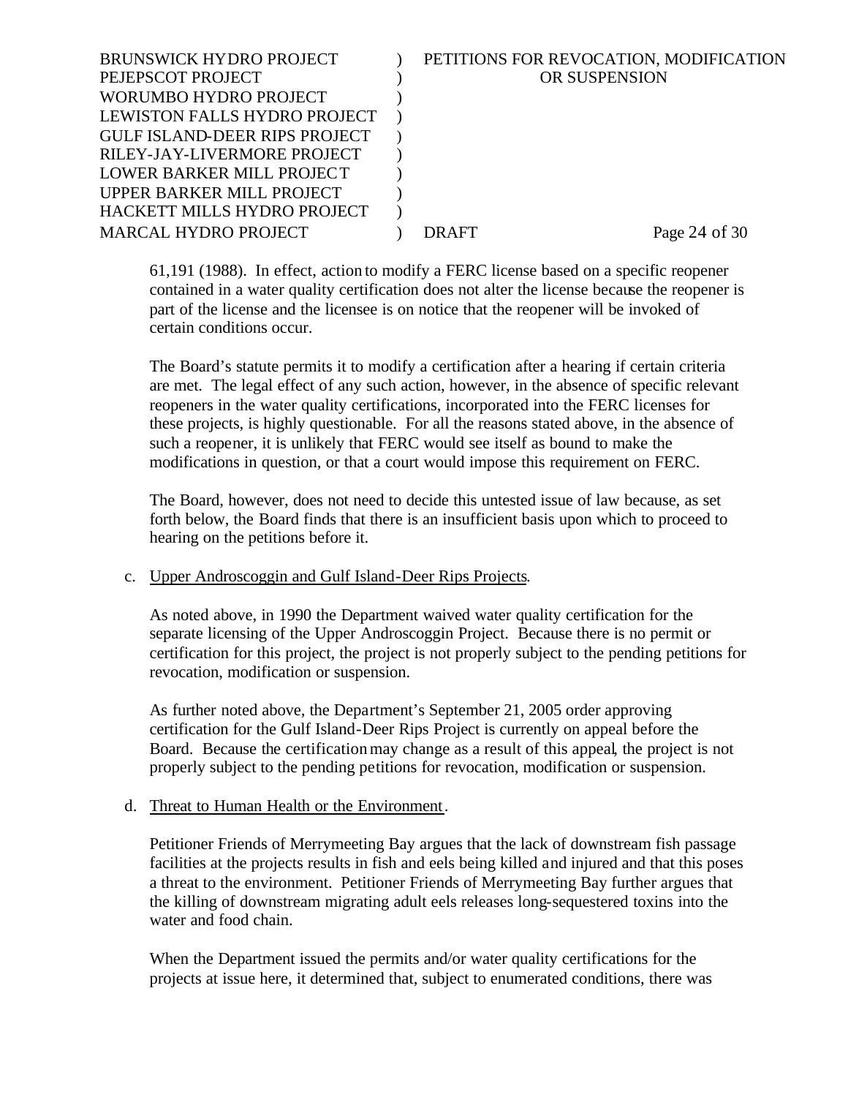| <b>BRUNSWICK HYDRO PROJECT</b>       | PETITIONS FOR REVOCATION, MODIFICATION |
|--------------------------------------|----------------------------------------|
| PEJEPSCOT PROJECT                    | OR SUSPENSION                          |
| WORUMBO HYDRO PROJECT                |                                        |
| LEWISTON FALLS HYDRO PROJECT         |                                        |
| <b>GULF ISLAND-DEER RIPS PROJECT</b> |                                        |
| RILEY-JAY-LIVERMORE PROJECT          |                                        |
| LOWER BARKER MILL PROJECT            |                                        |
| UPPER BARKER MILL PROJECT            |                                        |
| HACKETT MILLS HYDRO PROJECT          |                                        |
| <b>MARCAL HYDRO PROJECT</b>          | Page 24 of $30$<br>DR AFT              |
|                                      |                                        |

61,191 (1988). In effect, action to modify a FERC license based on a specific reopener contained in a water quality certification does not alter the license because the reopener is part of the license and the licensee is on notice that the reopener will be invoked of certain conditions occur.

The Board's statute permits it to modify a certification after a hearing if certain criteria are met. The legal effect of any such action, however, in the absence of specific relevant reopeners in the water quality certifications, incorporated into the FERC licenses for these projects, is highly questionable. For all the reasons stated above, in the absence of such a reopener, it is unlikely that FERC would see itself as bound to make the modifications in question, or that a court would impose this requirement on FERC.

The Board, however, does not need to decide this untested issue of law because, as set forth below, the Board finds that there is an insufficient basis upon which to proceed to hearing on the petitions before it.

#### c. Upper Androscoggin and Gulf Island-Deer Rips Projects.

As noted above, in 1990 the Department waived water quality certification for the separate licensing of the Upper Androscoggin Project. Because there is no permit or certification for this project, the project is not properly subject to the pending petitions for revocation, modification or suspension.

As further noted above, the Department's September 21, 2005 order approving certification for the Gulf Island-Deer Rips Project is currently on appeal before the Board. Because the certification may change as a result of this appeal, the project is not properly subject to the pending petitions for revocation, modification or suspension.

## d. Threat to Human Health or the Environment.

Petitioner Friends of Merrymeeting Bay argues that the lack of downstream fish passage facilities at the projects results in fish and eels being killed and injured and that this poses a threat to the environment. Petitioner Friends of Merrymeeting Bay further argues that the killing of downstream migrating adult eels releases long-sequestered toxins into the water and food chain.

When the Department issued the permits and/or water quality certifications for the projects at issue here, it determined that, subject to enumerated conditions, there was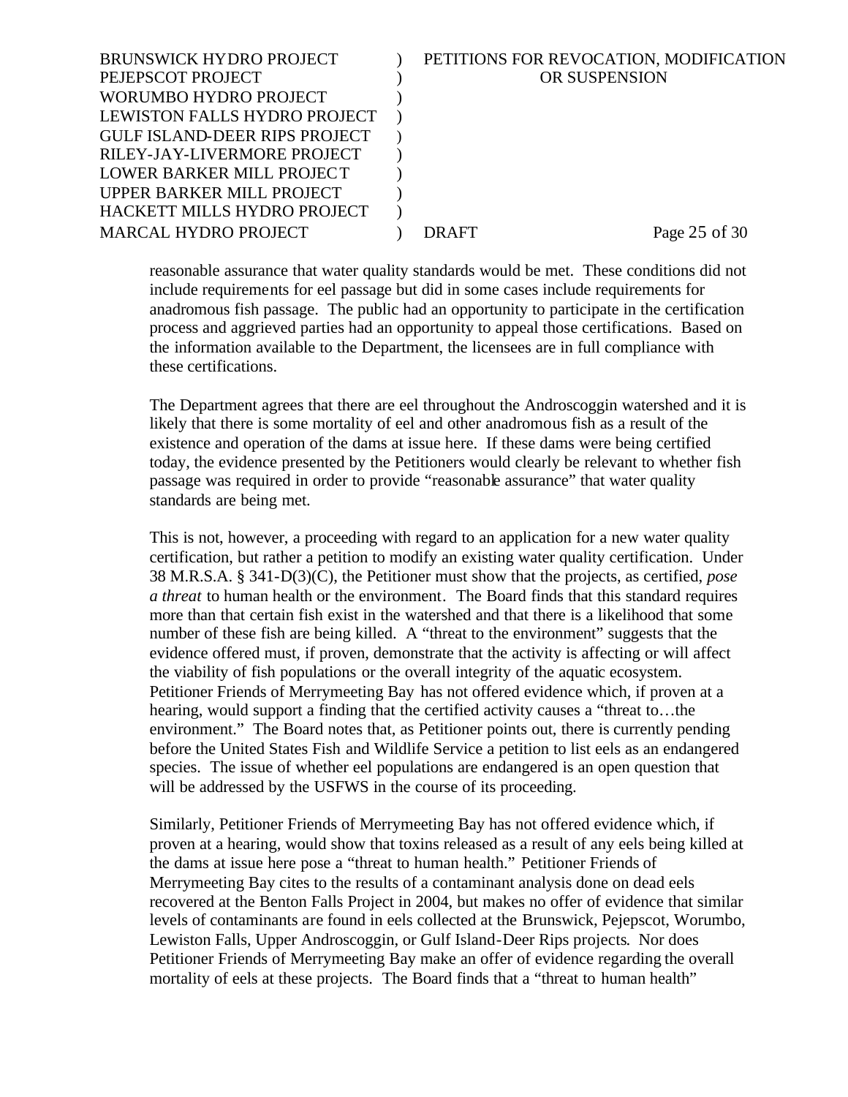| <b>BRUNSWICK HYDRO PROJECT</b>       | PETITIONS FOR REVOCATION, MODIFICATION |
|--------------------------------------|----------------------------------------|
| PEJEPSCOT PROJECT                    | OR SUSPENSION                          |
| WORUMBO HYDRO PROJECT                |                                        |
| LEWISTON FALLS HYDRO PROJECT         |                                        |
| <b>GULF ISLAND-DEER RIPS PROJECT</b> |                                        |
| RILEY-JAY-LIVERMORE PROJECT          |                                        |
| LOWER BARKER MILL PROJECT            |                                        |
| UPPER BARKER MILL PROJECT            |                                        |
| HACKETT MILLS HYDRO PROJECT          |                                        |
| <b>MARCAL HYDRO PROJECT</b>          | Page 25 of 30<br>DR AFT                |
|                                      |                                        |

reasonable assurance that water quality standards would be met. These conditions did not include requirements for eel passage but did in some cases include requirements for anadromous fish passage. The public had an opportunity to participate in the certification process and aggrieved parties had an opportunity to appeal those certifications. Based on the information available to the Department, the licensees are in full compliance with these certifications.

The Department agrees that there are eel throughout the Androscoggin watershed and it is likely that there is some mortality of eel and other anadromous fish as a result of the existence and operation of the dams at issue here. If these dams were being certified today, the evidence presented by the Petitioners would clearly be relevant to whether fish passage was required in order to provide "reasonable assurance" that water quality standards are being met.

This is not, however, a proceeding with regard to an application for a new water quality certification, but rather a petition to modify an existing water quality certification. Under 38 M.R.S.A. § 341-D(3)(C), the Petitioner must show that the projects, as certified, *pose a threat* to human health or the environment. The Board finds that this standard requires more than that certain fish exist in the watershed and that there is a likelihood that some number of these fish are being killed. A "threat to the environment" suggests that the evidence offered must, if proven, demonstrate that the activity is affecting or will affect the viability of fish populations or the overall integrity of the aquatic ecosystem. Petitioner Friends of Merrymeeting Bay has not offered evidence which, if proven at a hearing, would support a finding that the certified activity causes a "threat to…the environment." The Board notes that, as Petitioner points out, there is currently pending before the United States Fish and Wildlife Service a petition to list eels as an endangered species. The issue of whether eel populations are endangered is an open question that will be addressed by the USFWS in the course of its proceeding.

Similarly, Petitioner Friends of Merrymeeting Bay has not offered evidence which, if proven at a hearing, would show that toxins released as a result of any eels being killed at the dams at issue here pose a "threat to human health." Petitioner Friends of Merrymeeting Bay cites to the results of a contaminant analysis done on dead eels recovered at the Benton Falls Project in 2004, but makes no offer of evidence that similar levels of contaminants are found in eels collected at the Brunswick, Pejepscot, Worumbo, Lewiston Falls, Upper Androscoggin, or Gulf Island-Deer Rips projects. Nor does Petitioner Friends of Merrymeeting Bay make an offer of evidence regarding the overall mortality of eels at these projects. The Board finds that a "threat to human health"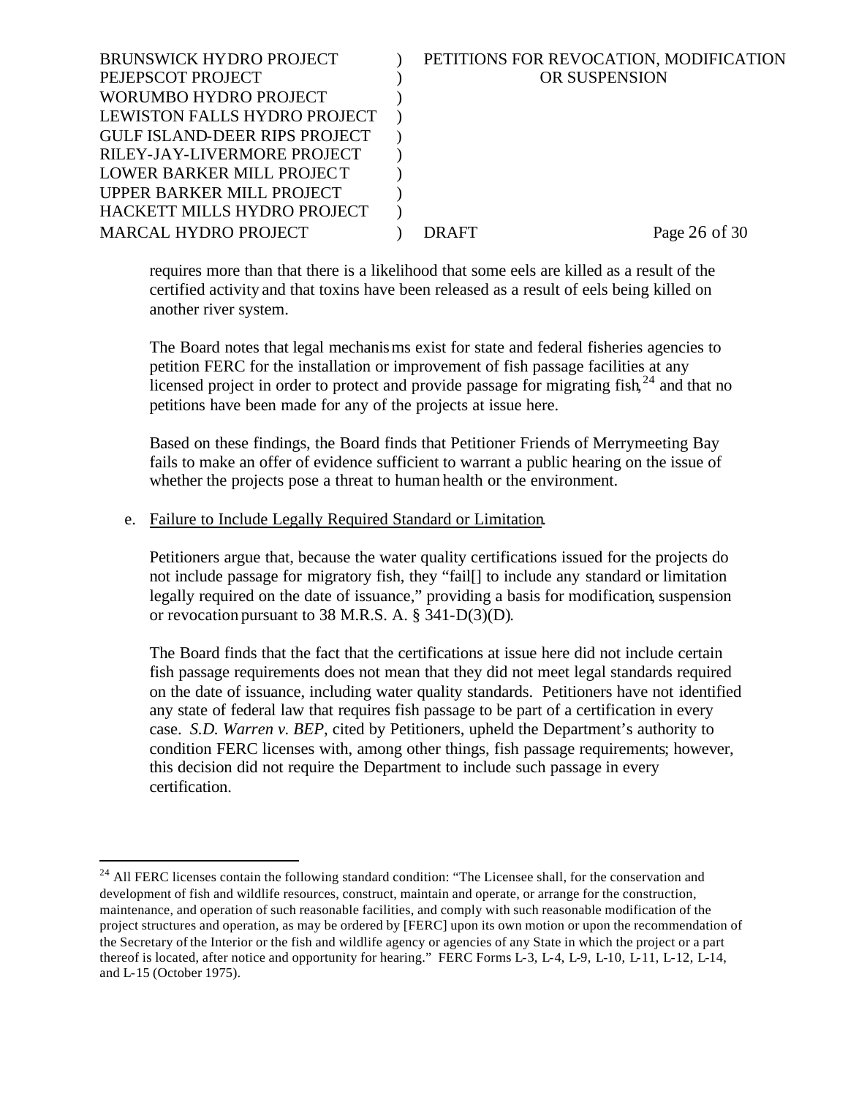| <b>BRUNSWICK HYDRO PROJECT</b>       | PETITIONS FOR REVOCATION, MODIFICATION |
|--------------------------------------|----------------------------------------|
| PEJEPSCOT PROJECT                    | <b>OR SUSPENSION</b>                   |
| WORUMBO HYDRO PROJECT                |                                        |
| LEWISTON FALLS HYDRO PROJECT         |                                        |
| <b>GULF ISLAND-DEER RIPS PROJECT</b> |                                        |
| RILEY-JAY-LIVERMORE PROJECT          |                                        |
| LOWER BARKER MILL PROJECT            |                                        |
| UPPER BARKER MILL PROJECT            |                                        |
| HACKETT MILLS HYDRO PROJECT          |                                        |
| <b>MARCAL HYDRO PROJECT</b>          | Page 26 of 30<br>DRAFT                 |
|                                      |                                        |

requires more than that there is a likelihood that some eels are killed as a result of the certified activity and that toxins have been released as a result of eels being killed on another river system.

The Board notes that legal mechanisms exist for state and federal fisheries agencies to petition FERC for the installation or improvement of fish passage facilities at any licensed project in order to protect and provide passage for migrating  $fish^{24}$  and that no petitions have been made for any of the projects at issue here.

Based on these findings, the Board finds that Petitioner Friends of Merrymeeting Bay fails to make an offer of evidence sufficient to warrant a public hearing on the issue of whether the projects pose a threat to human health or the environment.

#### e. Failure to Include Legally Required Standard or Limitation.

l

Petitioners argue that, because the water quality certifications issued for the projects do not include passage for migratory fish, they "fail[] to include any standard or limitation legally required on the date of issuance," providing a basis for modification, suspension or revocation pursuant to 38 M.R.S. A. § 341-D(3)(D).

The Board finds that the fact that the certifications at issue here did not include certain fish passage requirements does not mean that they did not meet legal standards required on the date of issuance, including water quality standards. Petitioners have not identified any state of federal law that requires fish passage to be part of a certification in every case. *S.D. Warren v. BEP*, cited by Petitioners, upheld the Department's authority to condition FERC licenses with, among other things, fish passage requirements; however, this decision did not require the Department to include such passage in every certification.

<sup>&</sup>lt;sup>24</sup> All FERC licenses contain the following standard condition: "The Licensee shall, for the conservation and development of fish and wildlife resources, construct, maintain and operate, or arrange for the construction, maintenance, and operation of such reasonable facilities, and comply with such reasonable modification of the project structures and operation, as may be ordered by [FERC] upon its own motion or upon the recommendation of the Secretary of the Interior or the fish and wildlife agency or agencies of any State in which the project or a part thereof is located, after notice and opportunity for hearing." FERC Forms L-3, L-4, L-9, L-10, L-11, L-12, L-14, and L-15 (October 1975).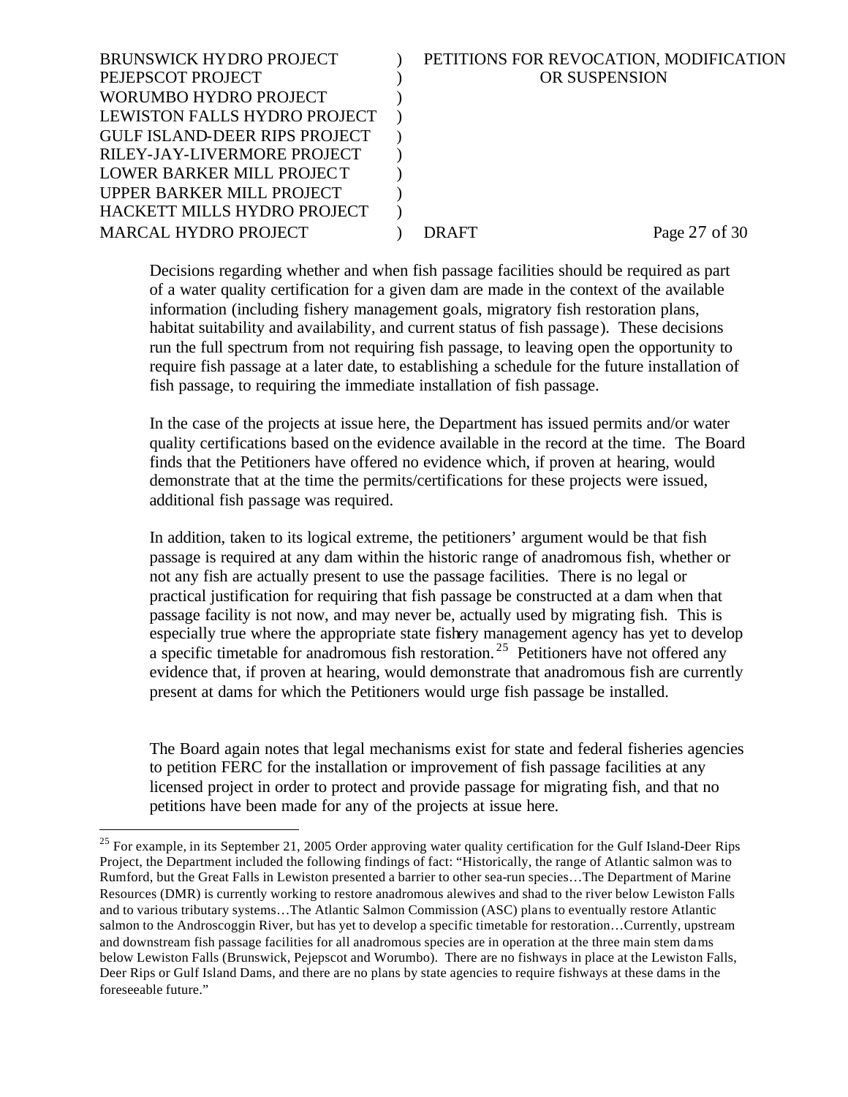| <b>BRUNSWICK HYDRO PROJECT</b>       | PETITIONS FOR REVOCATION, MODIFICATION |
|--------------------------------------|----------------------------------------|
| PEJEPSCOT PROJECT                    | OR SUSPENSION                          |
| WORUMBO HYDRO PROJECT                |                                        |
| LEWISTON FALLS HYDRO PROJECT         |                                        |
| <b>GULF ISLAND-DEER RIPS PROJECT</b> |                                        |
| RILEY-JAY-LIVERMORE PROJECT          |                                        |
| LOWER BARKER MILL PROJECT            |                                        |
| UPPER BARKER MILL PROJECT            |                                        |
| HACKETT MILLS HYDRO PROJECT          |                                        |
| <b>MARCAL HYDRO PROJECT</b>          | Page 27 of 30<br><b>DRAFT</b>          |
|                                      |                                        |

Decisions regarding whether and when fish passage facilities should be required as part of a water quality certification for a given dam are made in the context of the available information (including fishery management goals, migratory fish restoration plans, habitat suitability and availability, and current status of fish passage). These decisions run the full spectrum from not requiring fish passage, to leaving open the opportunity to require fish passage at a later date, to establishing a schedule for the future installation of fish passage, to requiring the immediate installation of fish passage.

In the case of the projects at issue here, the Department has issued permits and/or water quality certifications based on the evidence available in the record at the time. The Board finds that the Petitioners have offered no evidence which, if proven at hearing, would demonstrate that at the time the permits/certifications for these projects were issued, additional fish passage was required.

In addition, taken to its logical extreme, the petitioners' argument would be that fish passage is required at any dam within the historic range of anadromous fish, whether or not any fish are actually present to use the passage facilities. There is no legal or practical justification for requiring that fish passage be constructed at a dam when that passage facility is not now, and may never be, actually used by migrating fish. This is especially true where the appropriate state fishery management agency has yet to develop a specific timetable for anadromous fish restoration.<sup>25</sup> Petitioners have not offered any evidence that, if proven at hearing, would demonstrate that anadromous fish are currently present at dams for which the Petitioners would urge fish passage be installed.

The Board again notes that legal mechanisms exist for state and federal fisheries agencies to petition FERC for the installation or improvement of fish passage facilities at any licensed project in order to protect and provide passage for migrating fish, and that no petitions have been made for any of the projects at issue here.

<sup>&</sup>lt;sup>25</sup> For example, in its September 21, 2005 Order approving water quality certification for the Gulf Island-Deer Rips Project, the Department included the following findings of fact: "Historically, the range of Atlantic salmon was to Rumford, but the Great Falls in Lewiston presented a barrier to other sea-run species…The Department of Marine Resources (DMR) is currently working to restore anadromous alewives and shad to the river below Lewiston Falls and to various tributary systems…The Atlantic Salmon Commission (ASC) plans to eventually restore Atlantic salmon to the Androscoggin River, but has yet to develop a specific timetable for restoration…Currently, upstream and downstream fish passage facilities for all anadromous species are in operation at the three main stem dams below Lewiston Falls (Brunswick, Pejepscot and Worumbo). There are no fishways in place at the Lewiston Falls, Deer Rips or Gulf Island Dams, and there are no plans by state agencies to require fishways at these dams in the foreseeable future."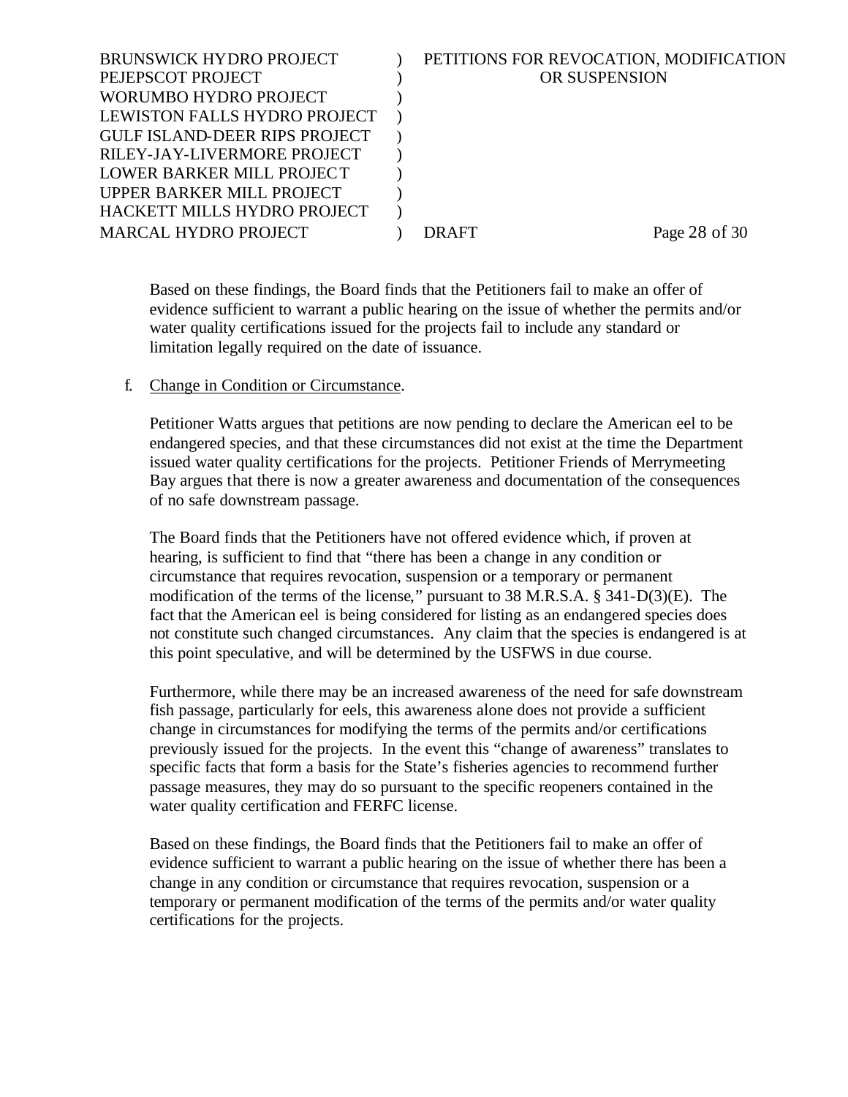| <b>BRUNSWICK HYDRO PROJECT</b>       | PETITIONS FOR REVOCATION, MODIFICATION |
|--------------------------------------|----------------------------------------|
| PEJEPSCOT PROJECT                    | OR SUSPENSION                          |
| WORUMBO HYDRO PROJECT                |                                        |
| LEWISTON FALLS HYDRO PROJECT         |                                        |
| <b>GULF ISLAND-DEER RIPS PROJECT</b> |                                        |
| RILEY-JAY-LIVERMORE PROJECT          |                                        |
| LOWER BARKER MILL PROJECT            |                                        |
| UPPER BARKER MILL PROJECT            |                                        |
| HACKETT MILLS HYDRO PROJECT          |                                        |
| <b>MARCAL HYDRO PROJECT</b>          | Page 28 of 30<br>DRAFT                 |
|                                      |                                        |

Based on these findings, the Board finds that the Petitioners fail to make an offer of evidence sufficient to warrant a public hearing on the issue of whether the permits and/or water quality certifications issued for the projects fail to include any standard or limitation legally required on the date of issuance.

#### f. Change in Condition or Circumstance.

Petitioner Watts argues that petitions are now pending to declare the American eel to be endangered species, and that these circumstances did not exist at the time the Department issued water quality certifications for the projects. Petitioner Friends of Merrymeeting Bay argues that there is now a greater awareness and documentation of the consequences of no safe downstream passage.

The Board finds that the Petitioners have not offered evidence which, if proven at hearing, is sufficient to find that "there has been a change in any condition or circumstance that requires revocation, suspension or a temporary or permanent modification of the terms of the license," pursuant to 38 M.R.S.A. § 341-D(3)(E). The fact that the American eel is being considered for listing as an endangered species does not constitute such changed circumstances. Any claim that the species is endangered is at this point speculative, and will be determined by the USFWS in due course.

Furthermore, while there may be an increased awareness of the need for safe downstream fish passage, particularly for eels, this awareness alone does not provide a sufficient change in circumstances for modifying the terms of the permits and/or certifications previously issued for the projects. In the event this "change of awareness" translates to specific facts that form a basis for the State's fisheries agencies to recommend further passage measures, they may do so pursuant to the specific reopeners contained in the water quality certification and FERFC license.

Based on these findings, the Board finds that the Petitioners fail to make an offer of evidence sufficient to warrant a public hearing on the issue of whether there has been a change in any condition or circumstance that requires revocation, suspension or a temporary or permanent modification of the terms of the permits and/or water quality certifications for the projects.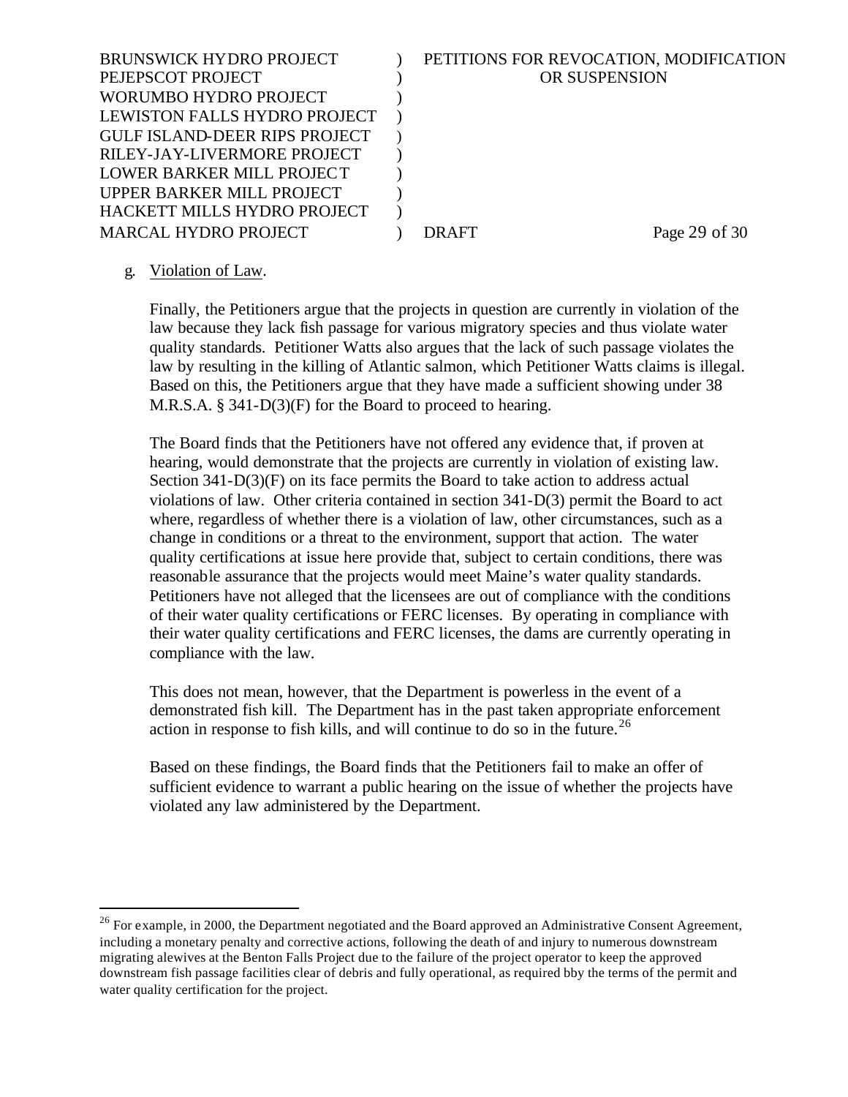| OR SUSPENSION<br>PEJEPSCOT PROJECT<br>WORUMBO HYDRO PROJECT<br>LEWISTON FALLS HYDRO PROJECT<br><b>GULF ISLAND-DEER RIPS PROJECT</b><br>RILEY-JAY-LIVERMORE PROJECT<br>LOWER BARKER MILL PROJECT<br>UPPER BARKER MILL PROJECT<br>HACKETT MILLS HYDRO PROJECT<br><b>MARCAL HYDRO PROJECT</b><br>Page 29 of 30<br>DRAFT | BRUNSWICK HYDRO PROJECT | PETITIONS FOR REVOCATION, MODIFICATION |
|----------------------------------------------------------------------------------------------------------------------------------------------------------------------------------------------------------------------------------------------------------------------------------------------------------------------|-------------------------|----------------------------------------|
|                                                                                                                                                                                                                                                                                                                      |                         |                                        |
|                                                                                                                                                                                                                                                                                                                      |                         |                                        |
|                                                                                                                                                                                                                                                                                                                      |                         |                                        |
|                                                                                                                                                                                                                                                                                                                      |                         |                                        |
|                                                                                                                                                                                                                                                                                                                      |                         |                                        |
|                                                                                                                                                                                                                                                                                                                      |                         |                                        |
|                                                                                                                                                                                                                                                                                                                      |                         |                                        |
|                                                                                                                                                                                                                                                                                                                      |                         |                                        |
|                                                                                                                                                                                                                                                                                                                      |                         |                                        |

## g. Violation of Law.

l

Finally, the Petitioners argue that the projects in question are currently in violation of the law because they lack fish passage for various migratory species and thus violate water quality standards. Petitioner Watts also argues that the lack of such passage violates the law by resulting in the killing of Atlantic salmon, which Petitioner Watts claims is illegal. Based on this, the Petitioners argue that they have made a sufficient showing under 38 M.R.S.A. § 341-D(3)(F) for the Board to proceed to hearing.

The Board finds that the Petitioners have not offered any evidence that, if proven at hearing, would demonstrate that the projects are currently in violation of existing law. Section 341-D(3)(F) on its face permits the Board to take action to address actual violations of law. Other criteria contained in section 341-D(3) permit the Board to act where, regardless of whether there is a violation of law, other circumstances, such as a change in conditions or a threat to the environment, support that action. The water quality certifications at issue here provide that, subject to certain conditions, there was reasonable assurance that the projects would meet Maine's water quality standards. Petitioners have not alleged that the licensees are out of compliance with the conditions of their water quality certifications or FERC licenses. By operating in compliance with their water quality certifications and FERC licenses, the dams are currently operating in compliance with the law.

This does not mean, however, that the Department is powerless in the event of a demonstrated fish kill. The Department has in the past taken appropriate enforcement action in response to fish kills, and will continue to do so in the future.<sup>26</sup>

Based on these findings, the Board finds that the Petitioners fail to make an offer of sufficient evidence to warrant a public hearing on the issue of whether the projects have violated any law administered by the Department.

<sup>&</sup>lt;sup>26</sup> For example, in 2000, the Department negotiated and the Board approved an Administrative Consent Agreement, including a monetary penalty and corrective actions, following the death of and injury to numerous downstream migrating alewives at the Benton Falls Project due to the failure of the project operator to keep the approved downstream fish passage facilities clear of debris and fully operational, as required bby the terms of the permit and water quality certification for the project.